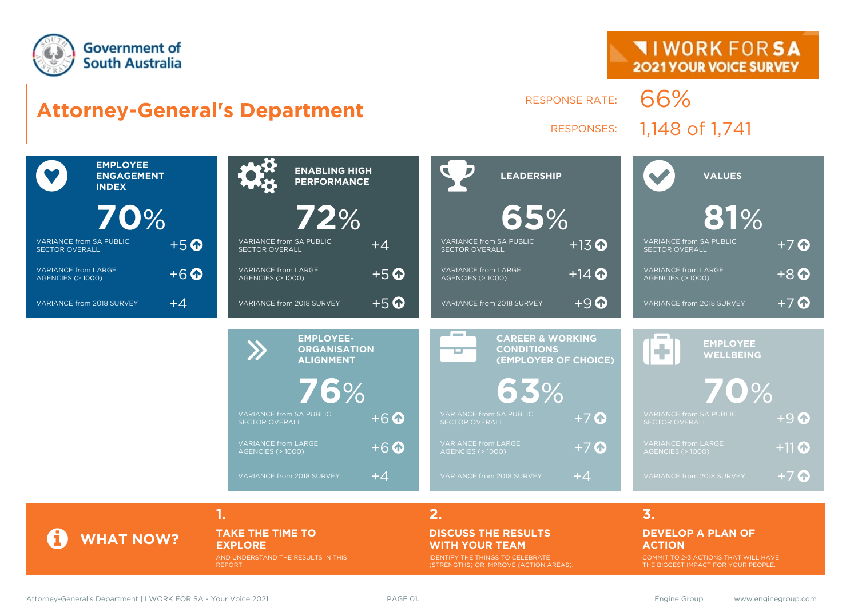



**TAKE THE TIME TO EXPLORE** AND UNDERSTAND THE RESULTS IN THIS

REPORT.

#### **DISCUSS THE RESULTS WITH YOUR TEAM**

IDENTIFY THE THINGS TO CELEBRATE (STRENGTHS) OR IMPROVE (ACTION AREAS).

#### **DEVELOP A PLAN OF ACTION**

COMMIT TO 2-3 ACTIONS THAT WILL HAVE THE BIGGEST IMPACT FOR YOUR PEOPLE.

**WHAT NOW?**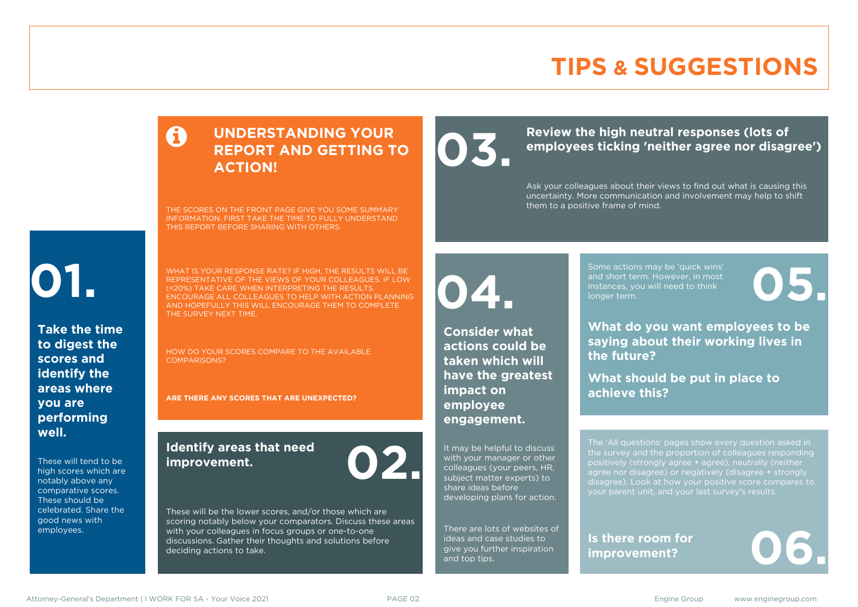# **TIPS & SUGGESTIONS**

### **UNDERSTANDING YOUR REPORT AND GETTING TO ACTION!**

THE SCORES ON THE FRONT PAGE GIVE YOU SOME SUMMARY INFORMATION. FIRST TAKE THE TIME TO FULLY UNDERSTAND THIS REPORT BEFORE SHARING WITH OTHERS.

# **01.**

**Take the time to digest the scores and identify the areas where you are performing well.**

These will tend to be high scores which are notably above any comparative scores. These should be celebrated. Share the good news with employees.

WHAT IS YOUR RESPONSE RATE? IF HIGH, THE RESULTS WILL BE REPRESENTATIVE OF THE VIEWS OF YOUR COLLEAGUES. IF LOW (<20%) TAKE CARE WHEN INTERPRETING THE RESULTS. ENCOURAGE ALL COLLEAGUES TO HELP WITH ACTION PLANNING AND HOPEFULLY THIS WILL ENCOURAGE THEM TO COMPLETE THE SURVEY NEXT TIME.

HOW DO YOUR SCORES COMPARE TO THE AVAILABLE COMPARISONS?

**ARE THERE ANY SCORES THAT ARE UNEXPECTED?**

### **Identify areas that need improvement. 02.**

These will be the lower scores, and/or those which are scoring notably below your comparators. Discuss these areas with your colleagues in focus groups or one-to-one discussions. Gather their thoughts and solutions before deciding actions to take.

**04.**

**impact on employee engagement.**

**Consider what actions could be taken which will have the greatest** 

It may be helpful to discuss with your manager or other colleagues (your peers, HR,

There are lots of websites of ideas and case studies to give you further inspiration

share ideas before

and top tips.

Review the high neutral responses (lots of employees ticking 'neither agree nor disag **employees ticking 'neither agree nor disagree')**

> Ask your colleagues about their views to find out what is causing this uncertainty. More communication and involvement may help to shift them to a positive frame of mind.

> > Some actions may be 'quick wins' and short term. However, in most instances, you will need to think Some actions may be 'quick wins'<br>and short term. However, in most<br>instances, you will need to think<br>longer term.

**What do you want employees to be saying about their working lives in the future?**

**What should be put in place to achieve this?**

The 'All questions' pages show every question asked in positively (strongly agree + agree), neutrally (neither agree nor disagree) or negatively (disagree + strongly disagree). Look at how your positive score compares to your parent unit, and your last survey's results.

**Is there room for**  Is there room for<br>improvement?

subject matter experts) to developing plans for action.

Attorney-General's Department | I WORK FOR SA - Your Voice 2021 **PAGE 02.** PAGE 02. Engine Group www.enginegroup.com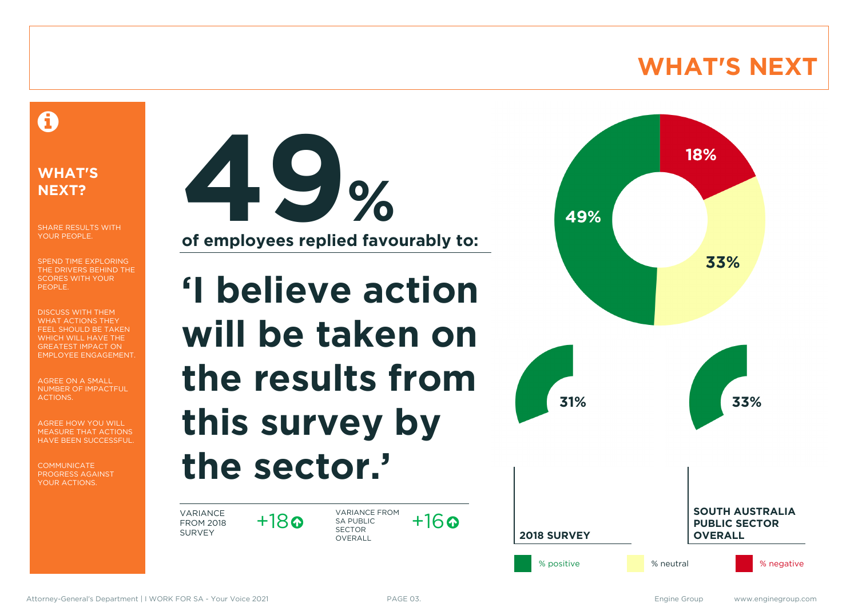# **WHAT'S NEXT**

### A

### **WHAT'S NEXT?**

SHARE RESULTS WITH YOUR PEOPLE.

SPEND TIME EXPLORING THE DRIVERS BEHIND THE SCORES WITH YOUR PEOPLE.

DISCUSS WITH THEM WHAT ACTIONS THEY FEEL SHOULD BE TAKEN WHICH WILL HAVE THE GREATEST IMPACT ON EMPLOYEE ENGAGEMENT.

AGREE ON A SMALL NUMBER OF IMPACTFUL ACTIONS.

AGREE HOW YOU WILL MEASURE THAT ACTIONS HAVE BEEN SUCCESSFUL.

**COMMUNICATE** PROGRESS AGAINST YOUR ACTIONS.



# **'I believe action will be taken on the results from this survey by the sector.'**

VARIANCE FROM 2018 SURVEY

 $+18$ 

VARIANCE FROM SA PUBLIC SECTOR **OVERALL**  $+16$ 

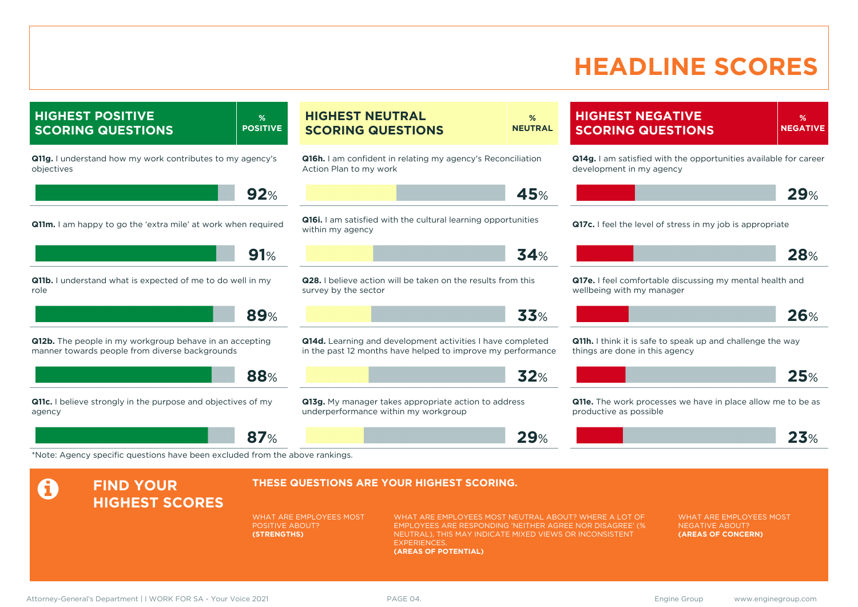# **HEADLINE SCORES**

**% NEGATIVE**

**HIGHEST NEGATIVE SCORING QUESTIONS**

**Q11g.** I understand how my work contributes to my agency's objectives **92**% **Q11m.** I am happy to go the 'extra mile' at work when required **91**% **Q11b.** I understand what is expected of me to do well in my role **89**% **Q12b.** The people in my workgroup behave in an accepting manner towards people from diverse backgrounds **88**% **Q11c.** I believe strongly in the purpose and objectives of my agency **87**% **Q16h.** I am confident in relating my agency's Reconciliation Action Plan to my work **45**% **Q16i.** I am satisfied with the cultural learning opportunities within my agency **34**% **Q28.** I believe action will be taken on the results from this survey by the sector **33**% **Q14d.** Learning and development activities I have completed in the past 12 months have helped to improve my performance **32**% **Q13g.** My manager takes appropriate action to address underperformance within my workgroup **29**% **Q14g.** I am satisfied with the opportunities available for career development in my agency **29**% **Q17c.** I feel the level of stress in my job is appropriate **28**% **Q17e.** I feel comfortable discussing my mental health and wellbeing with my manager **26**% **Q11h.** I think it is safe to speak up and challenge the way things are done in this agency **25**% **Q11e.** The work processes we have in place allow me to be as productive as possible **23**% \*Note: Agency specific questions have been excluded from the above rankings. **A** FIND YOUR **HIGHEST SCORES THESE QUESTIONS ARE YOUR HIGHEST SCORING.** WHAT ARE EMPLOYEES MOST POSITIVE ABOUT? **(STRENGTHS)** WHAT ARE EMPLOYEES MOST NEUTRAL ABOUT? WHERE A LOT OF EMPLOYEES ARE RESPONDING 'NEITHER AGREE NOR DISAGREE' (% NEUTRAL), THIS MAY INDICATE MIXED VIEWS OR INCONSISTENT **EXPERIENCES (AREAS OF POTENTIAL)** WHAT ARE EMPLOYEES MOST NEGATIVE ABOUT? **(AREAS OF CONCERN)**

**% NEUTRAL**

**HIGHEST POSITIVE SCORING QUESTIONS**

**% POSITIVE** **HIGHEST NEUTRAL SCORING QUESTIONS**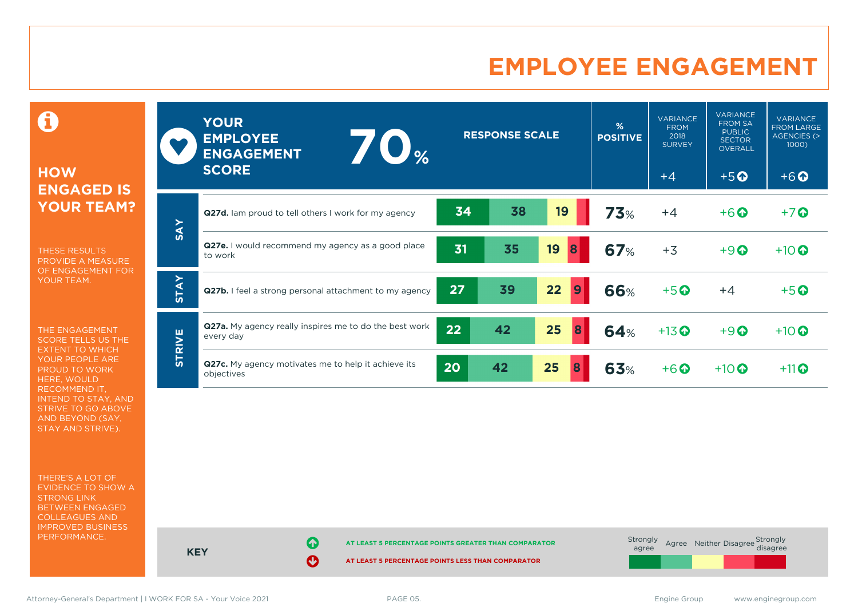# **EMPLOYEE ENGAGEMENT**

0

### **HOW ENGAGED IS YOUR TEAM?**

THESE RESULTS PROVIDE A MEASURE OF ENGAGEMENT FOR YOUR TEAM.

THE ENGAGEMENT SCORE TELLS US THE EXTENT TO WHICH YOUR PEOPLE ARE PROUD TO WORK HERE, WOULD RECOMMEND IT, INTEND TO STAY, AND STRIVE TO GO ABOVE AND BEYOND (SAY, STAY AND STRIVE).

THERE'S A LOT OF EVIDENCE TO SHOW A STRONG LINK BETWEEN ENGAGED COLLEAGUES AND IMPROVED BUSINESS PERFORMANCE.

|               | <b>YOUR</b><br><b>EMPLOYEE</b><br>$\blacksquare$<br><b>ENGAGEMENT</b><br><b>SCORE</b> |    | <b>RESPONSE SCALE</b> |         | %<br><b>POSITIVE</b> | <b>VARIANCE</b><br><b>FROM</b><br>2018<br><b>SURVEY</b><br>$+4$ | <b>VARIANCE</b><br><b>FROM SA</b><br><b>PUBLIC</b><br><b>SECTOR</b><br><b>OVERALL</b><br>$+5$ <sup><math>\odot</math></sup> | <b>VARIANCE</b><br><b>FROM LARGE</b><br><b>AGENCIES (&gt;</b><br>1000<br>$+6$ <sup><math>\odot</math></sup> |
|---------------|---------------------------------------------------------------------------------------|----|-----------------------|---------|----------------------|-----------------------------------------------------------------|-----------------------------------------------------------------------------------------------------------------------------|-------------------------------------------------------------------------------------------------------------|
|               | <b>Q27d.</b> Iam proud to tell others I work for my agency                            | 34 | 38                    | 19      | <b>73%</b>           | $+4$                                                            | $+6$ $\odot$                                                                                                                | $+7$ $\odot$                                                                                                |
| <b>SAY</b>    | Q27e. I would recommend my agency as a good place<br>to work                          | 31 | 35                    | 19<br>8 | <b>67%</b>           | $+3$                                                            | $+9$ <sup><math>\odot</math></sup>                                                                                          | $+10$                                                                                                       |
| <b>STAY</b>   | Q27b. I feel a strong personal attachment to my agency                                | 27 | 39                    | 22<br>9 | <b>66%</b>           | $+5$ <sup>O</sup>                                               | $+4$                                                                                                                        | $+5$ <sup>O</sup>                                                                                           |
| <b>STRIVE</b> | <b>Q27a.</b> My agency really inspires me to do the best work<br>every day            | 22 | 42                    | 25<br>8 | 64%                  | $+13$ <sup>O</sup>                                              | $+9$ <sup><math>\odot</math></sup>                                                                                          | $+10$                                                                                                       |
|               | Q27c. My agency motivates me to help it achieve its<br>objectives                     | 20 | 42                    | 25<br>8 | 63%                  | $+6$ $\odot$                                                    | $+10$ $\odot$                                                                                                               | $+11$                                                                                                       |

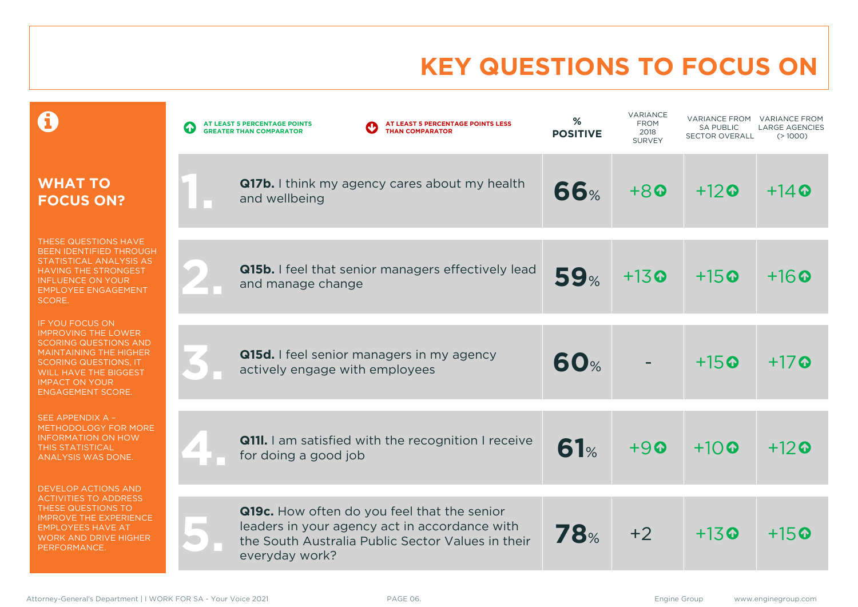# **KEY QUESTIONS TO FOCUS ON**

|                                                                                                                                                                                                                                            | AT LEAST 5 PERCENTAGE POINTS LESS<br>AT LEAST 5 PERCENTAGE POINTS<br><b>THAN COMPARATOR</b><br><b>GREATER THAN COMPARATOR</b>                                       | %<br><b>POSITIVE</b> | VARIANCE<br><b>FROM</b><br>2018<br><b>SURVEY</b> | VARIANCE FROM<br><b>SA PUBLIC</b><br><b>SECTOR OVERALL</b> | <b>VARIANCE FROM</b><br><b>LARGE AGENCIES</b><br>(>1000) |
|--------------------------------------------------------------------------------------------------------------------------------------------------------------------------------------------------------------------------------------------|---------------------------------------------------------------------------------------------------------------------------------------------------------------------|----------------------|--------------------------------------------------|------------------------------------------------------------|----------------------------------------------------------|
| <b>WHAT TO</b><br><b>FOCUS ON?</b>                                                                                                                                                                                                         | <b>Q17b.</b> I think my agency cares about my health<br>and wellbeing                                                                                               | <b>66%</b>           | $+80$                                            | $+12$ <sup><math>\odot</math></sup>                        | $+14$ Q                                                  |
| THESE QUESTIONS HAVE<br>BEEN IDENTIFIED THROUGH<br>STATISTICAL ANALYSIS AS<br><b>HAVING THE STRONGEST</b><br><b>INFLUENCE ON YOUR</b><br><b>EMPLOYEE ENGAGEMENT</b><br>SCORE.                                                              | Q15b. I feel that senior managers effectively lead<br>and manage change                                                                                             | 59%                  | $+13$ <sup><math>\odot</math></sup>              | $+15$ <sup><math>\odot</math></sup>                        | $+16$                                                    |
| <b>IF YOU FOCUS ON</b><br><b>IMPROVING THE LOWER</b><br><b>SCORING QUESTIONS AND</b><br><b>MAINTAINING THE HIGHER</b><br><b>SCORING QUESTIONS. IT</b><br><b>WILL HAVE THE BIGGEST</b><br><b>IMPACT ON YOUR</b><br><b>ENGAGEMENT SCORE.</b> | Q15d. I feel senior managers in my agency<br>actively engage with employees                                                                                         | <b>60%</b>           |                                                  | $+15$ <sup><math>\odot</math></sup>                        | $+17$ Q                                                  |
| SEE APPENDIX A -<br>METHODOLOGY FOR MORE<br><b>INFORMATION ON HOW</b><br><b>THIS STATISTICAL</b><br>ANALYSIS WAS DONE.                                                                                                                     | <b>Q111.</b> I am satisfied with the recognition I receive<br>for doing a good job                                                                                  | 61%                  | $+90$                                            | $+10$ <sup><math>\odot</math></sup>                        | $+12$                                                    |
| <b>DEVELOP ACTIONS AND</b><br><b>ACTIVITIES TO ADDRESS</b><br>THESE QUESTIONS TO<br><b>IMPROVE THE EXPERIENCE</b><br><b>EMPLOYEES HAVE AT</b><br><b>WORK AND DRIVE HIGHER</b><br>PERFORMANCE.                                              | Q19c. How often do you feel that the senior<br>leaders in your agency act in accordance with<br>the South Australia Public Sector Values in their<br>everyday work? | <b>78%</b>           | $+2$                                             | $+13$ <sup><math>\odot</math></sup>                        | $+15$ ©                                                  |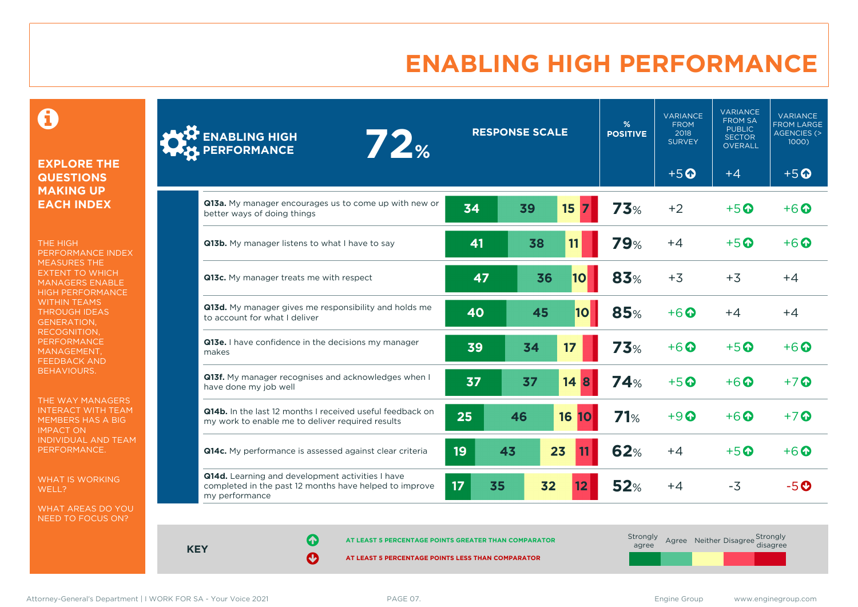# **ENABLING HIGH PERFORMANCE**

 $\mathbf \Theta$ 

#### **EXPLORE THE QUESTIONS MAKING UP EACH INDEX**

THE HIGH PERFORMANCE INDEX MEASURES THE EXTENT TO WHICH MANAGERS ENABLE HIGH PERFORMANCE WITHIN TEAMS THROUGH IDEAS GENERATION, RECOGNITION, **PERFORMANCE** MANAGEMENT, FEEDBACK AND BEHAVIOURS.

THE WAY MANAGERS INTERACT WITH TEAM MEMBERS HAS A BIG IMPACT ON INDIVIDUAL AND TEAM PERFORMANCE.

WHAT IS WORKING WELL?

WHAT AREAS DO YOU NEED TO FOCUS ON?

| <b>ENABLING HIGH<br/>PERFORMANCE</b><br>72%                                                                                  |          | <b>RESPONSE SCALE</b> |                 | %<br><b>POSITIVE</b> | <b>VARIANCE</b><br><b>FROM</b><br>2018<br><b>SURVEY</b> | <b>VARIANCE</b><br><b>FROM SA</b><br><b>PUBLIC</b><br><b>SECTOR</b><br><b>OVERALL</b> | <b>VARIANCE</b><br><b>FROM LARGE</b><br><b>AGENCIES (&gt;</b><br>1000) |
|------------------------------------------------------------------------------------------------------------------------------|----------|-----------------------|-----------------|----------------------|---------------------------------------------------------|---------------------------------------------------------------------------------------|------------------------------------------------------------------------|
|                                                                                                                              |          |                       |                 |                      | $+5$ <sup><math>\odot</math></sup>                      | $+4$                                                                                  | $+5$ <sup>O</sup>                                                      |
| Q13a. My manager encourages us to come up with new or<br>better ways of doing things                                         | 34       | 39                    | 15              | <b>73%</b>           | $+2$                                                    | $+5$ $\odot$                                                                          | $+6$ $\Omega$                                                          |
| Q13b. My manager listens to what I have to say                                                                               | 41       | 38                    | 11              | <b>79%</b>           | $+4$                                                    | $+5$ <sup><math>\odot</math></sup>                                                    | $+6$ $\odot$                                                           |
| Q13c. My manager treats me with respect                                                                                      | 47       | 36                    | 10              | 83%                  | $+3$                                                    | $+3$                                                                                  | $+4$                                                                   |
| Q13d. My manager gives me responsibility and holds me<br>to account for what I deliver                                       | 40       | 45                    | 10              | <b>85%</b>           | $+6$                                                    | $+4$                                                                                  | $+4$                                                                   |
| Q13e. I have confidence in the decisions my manager<br>makes                                                                 | 39       | 34                    | 17              | <b>73%</b>           | $+6$ $\Omega$                                           | $+5$ $\odot$                                                                          | $+6$ $\Omega$                                                          |
| Q13f. My manager recognises and acknowledges when I<br>have done my job well                                                 | 37       | 37                    | $14 \vert 8$    | 74%                  | $+5$ $\odot$                                            | $+6$ $\odot$                                                                          | $+7$ $\odot$                                                           |
| Q14b. In the last 12 months I received useful feedback on<br>my work to enable me to deliver required results                | 25       | 46                    | 16<br><b>10</b> | 71%                  | $+9$ $\Omega$                                           | $+6\Omega$                                                                            | $+7$ $\odot$                                                           |
| Q14c. My performance is assessed against clear criteria                                                                      | 19       | 43                    | 23              | 62%                  | $+4$                                                    | $+5$ <sup><math>\odot</math></sup>                                                    | $+6$ $\odot$                                                           |
| Q14d. Learning and development activities I have<br>completed in the past 12 months have helped to improve<br>my performance | 17<br>35 | 32                    |                 | 52%                  | $+4$                                                    | $-3$                                                                                  | $-5$ $\odot$                                                           |

**KEY**

**AT LEAST 5 PERCENTAGE POINTS GREATER THAN COMPARATOR** 

**AT LEAST 5 PERCENTAGE POINTS LESS THAN COMPARATOR** 

| Strongly<br>agree |  | Agree Neither Disagree Strongly |
|-------------------|--|---------------------------------|
|                   |  |                                 |

Attorney-General's Department | I WORK FOR SA - Your Voice 2021 **PAGE 07.** PAGE 07. Engine Group www.enginegroup.com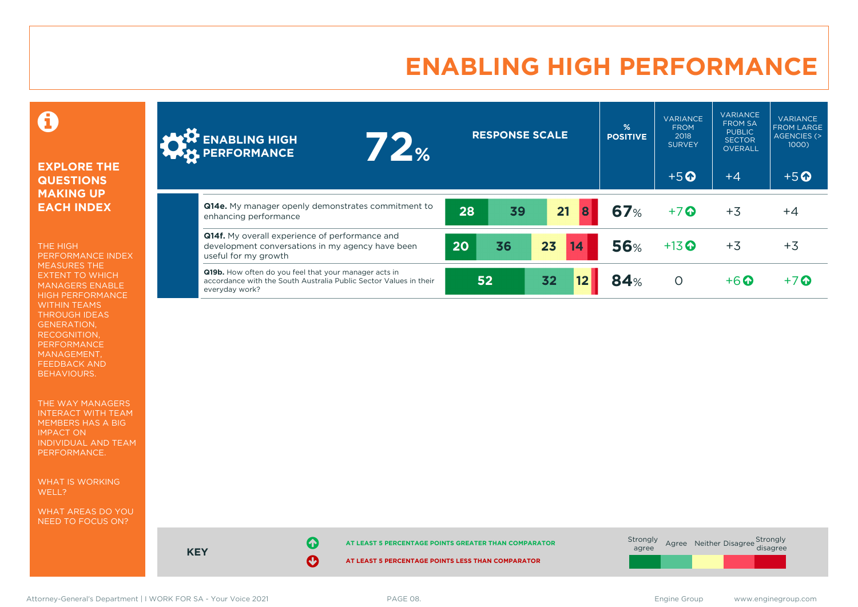# **ENABLING HIGH PERFORMANCE**

### 0

#### **EXPLORE THE QUESTIONS MAKING UP EACH INDEX**

THE HIGH PERFORMANCE INDEX MEASURES THE EXTENT TO WHICH MANAGERS ENABLE HIGH PERFORMANCE WITHIN TEAMS THROUGH IDEAS GENERATION, RECOGNITION, PERFORMANCE MANAGEMENT, FEEDBACK AND BEHAVIOURS.

THE WAY MANAGERS INTERACT WITH TEAM MEMBERS HAS A BIG IMPACT ON INDIVIDUAL AND TEAM PERFORMANCE.

WHAT IS WORKING WELL?

WHAT AREAS DO YOU NEED TO FOCUS ON?

| <b>AND ENABLING HIGH</b><br><b>72%</b>                                                                                                              | <b>RESPONSE SCALE</b> | %<br><b>POSITIVE</b> | <b>VARIANCE</b><br><b>FROM</b><br>2018<br><b>SURVEY</b> | <b>VARIANCE</b><br><b>FROM SA</b><br><b>PUBLIC</b><br><b>SECTOR</b><br><b>OVERALL</b> | <b>VARIANCE</b><br><b>FROM LARGE</b><br>AGENCIES (><br>1000) |
|-----------------------------------------------------------------------------------------------------------------------------------------------------|-----------------------|----------------------|---------------------------------------------------------|---------------------------------------------------------------------------------------|--------------------------------------------------------------|
|                                                                                                                                                     |                       |                      | $+5$ <sup><math>\odot</math></sup>                      | $+4$                                                                                  | $+5$ <sup><math>\odot</math></sup>                           |
| Q14e. My manager openly demonstrates commitment to<br>enhancing performance                                                                         | 21<br>8<br>39<br>28   | 67%                  | $+7$ $\odot$                                            | $+3$                                                                                  | $+4$                                                         |
| <b>Q14f.</b> My overall experience of performance and<br>development conversations in my agency have been<br>useful for my growth                   | 23<br>36<br>20<br>14  | <b>56%</b>           | $+13$ <sup>O</sup>                                      | $+3$                                                                                  | $+3$                                                         |
| <b>Q19b.</b> How often do you feel that your manager acts in<br>accordance with the South Australia Public Sector Values in their<br>everyday work? | 32<br>52              | 84%                  | $\circ$                                                 | $+6$ $\odot$                                                                          | $+7$ $\odot$                                                 |



**KEY**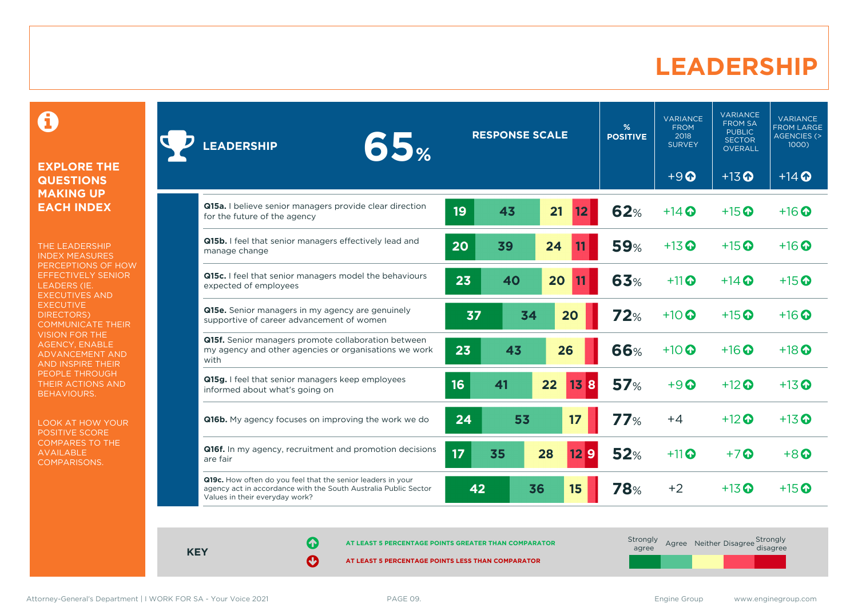### **LEADERSHIP**

0

#### **EXPLORE THE QUESTIONS MAKING UP EACH INDEX**

THE LEADERSHIP INDEX MEASURES PERCEPTIONS OF HOW EFFECTIVELY SENIOR LEADERS (IE. EXECUTIVES AND **EXECUTIVE** DIRECTORS) COMMUNICATE THEIR VISION FOR THE AGENCY, ENABLE ADVANCEMENT AND AND INSPIRE THEIR PEOPLE THROUGH THEIR ACTIONS AND BEHAVIOURS.

LOOK AT HOW YOUR POSITIVE SCORE COMPARES TO THE AVAILABLE COMPARISONS.

| 65%<br><b>LEADERSHIP</b>                                                                                                                                         |    | <b>RESPONSE SCALE</b> |    |         | %<br><b>POSITIVE</b> | <b>VARIANCE</b><br><b>FROM</b><br>2018<br><b>SURVEY</b> | <b>VARIANCE</b><br><b>FROM SA</b><br><b>PUBLIC</b><br><b>SECTOR</b><br><b>OVERALL</b> | <b>VARIANCE</b><br><b>FROM LARGE</b><br><b>AGENCIES (&gt;</b><br>$1000$ ) |
|------------------------------------------------------------------------------------------------------------------------------------------------------------------|----|-----------------------|----|---------|----------------------|---------------------------------------------------------|---------------------------------------------------------------------------------------|---------------------------------------------------------------------------|
|                                                                                                                                                                  |    |                       |    |         |                      | $+9$                                                    | $+13$ <sup>O</sup>                                                                    | $+14$ <sup>O</sup>                                                        |
| Q15a. I believe senior managers provide clear direction<br>for the future of the agency                                                                          | 19 | 43                    | 21 | 12      | 62%                  | $+14$ $\odot$                                           | $+15$ $\odot$                                                                         | $+16$ $\odot$                                                             |
| Q15b. I feel that senior managers effectively lead and<br>manage change                                                                                          | 20 | 39                    | 24 |         | <b>59%</b>           | $+13$ <sup>O</sup>                                      | $+15$ <sup>O</sup>                                                                    | $+16$ $\odot$                                                             |
| Q15c. I feel that senior managers model the behaviours<br>expected of employees                                                                                  | 23 | 40                    | 20 |         | 63%                  | $+11$                                                   | $+14$ $\odot$                                                                         | $+15$ <sup><math>\odot</math></sup>                                       |
| Q15e. Senior managers in my agency are genuinely<br>supportive of career advancement of women                                                                    | 37 | 34                    | 20 |         | 72%                  | $+10$ $\Omega$                                          | $+15$ <sup>O</sup>                                                                    | $+16$ $\odot$                                                             |
| Q15f. Senior managers promote collaboration between<br>my agency and other agencies or organisations we work<br>with                                             | 23 | 43                    | 26 |         | <b>66%</b>           | $+10$ $\odot$                                           | $+16$ $\odot$                                                                         | $+18$ $\odot$                                                             |
| Q15g. I feel that senior managers keep employees<br>informed about what's going on                                                                               | 16 | 41                    | 22 | 13<br>8 | 57%                  | $+9$ $\odot$                                            | $+12$ $\odot$                                                                         | $+13$ <sup><math>\odot</math></sup>                                       |
| <b>Q16b.</b> My agency focuses on improving the work we do                                                                                                       | 24 | 53                    |    | 17      | 77%                  | $+4$                                                    | $+12$ $\odot$                                                                         | $+13$ <sup>O</sup>                                                        |
| Q16f. In my agency, recruitment and promotion decisions<br>are fair                                                                                              | 17 | 35                    | 28 | 129     | 52%                  | $+11$                                                   | $+7$ $\odot$                                                                          | $+8$ <sup><math>\odot</math></sup>                                        |
| Q19c. How often do you feel that the senior leaders in your<br>agency act in accordance with the South Australia Public Sector<br>Values in their everyday work? | 42 |                       | 36 | 15      | 78%                  | $+2$                                                    | $+13$ $\odot$                                                                         | $+15$ $\odot$                                                             |

**KEY**

**AT LEAST 5 PERCENTAGE POINTS GREATER THAN COMPARATOR**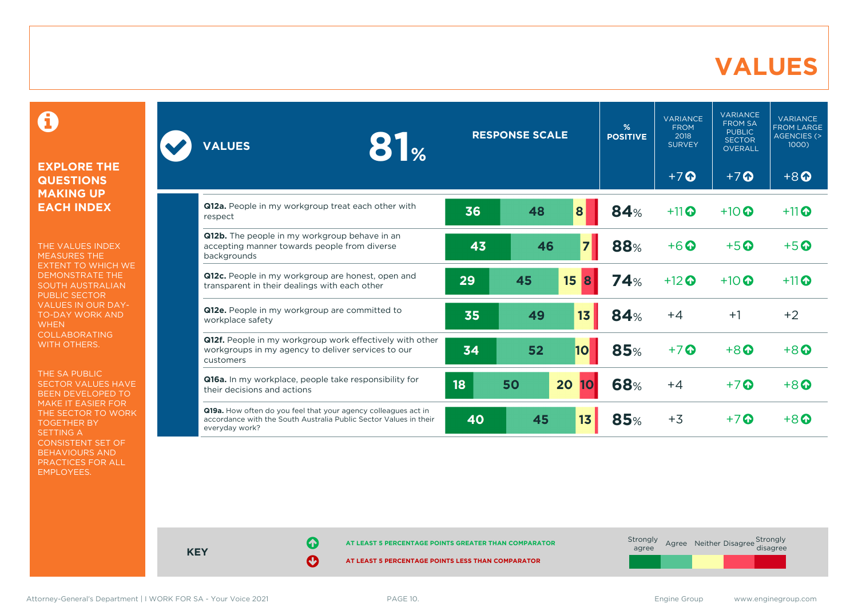### **VALUES**

0

#### **EXPLORE THE QUESTIONS MAKING UP EACH INDEX**

THE VALUES INDEX MEASURES THE EXTENT TO WHICH WE DEMONSTRATE THE SOUTH AUSTRALIAN PUBLIC SECTOR VALUES IN OUR DAY-TO-DAY WORK AND **WHEN** COLLABORATING WITH OTHERS.

THE SA PUBLIC SECTOR VALUES HAVE BEEN DEVELOPED TO MAKE IT EASIER FOR THE SECTOR TO WORK TOGETHER BY SETTING A CONSISTENT SET OF BEHAVIOURS AND PRACTICES FOR ALL EMPLOYEES.

| 81 <sub>%</sub><br><b>VALUES</b>                                                                                                                      | <b>RESPONSE SCALE</b> |    |                | $\frac{9}{6}$<br><b>POSITIVE</b> | <b>VARIANCE</b><br><b>FROM</b><br>2018<br><b>SURVEY</b> | <b>VARIANCE</b><br><b>FROM SA</b><br><b>PUBLIC</b><br><b>SECTOR</b><br><b>OVERALL</b> | <b>VARIANCE</b><br><b>FROM LARGE</b><br><b>AGENCIES (&gt;</b><br>1000 |
|-------------------------------------------------------------------------------------------------------------------------------------------------------|-----------------------|----|----------------|----------------------------------|---------------------------------------------------------|---------------------------------------------------------------------------------------|-----------------------------------------------------------------------|
|                                                                                                                                                       |                       |    |                |                                  | $+7$ <sup><math>\odot</math></sup>                      | $+7$ <sup>O</sup>                                                                     | $+8$ <sup><math>\odot</math></sup>                                    |
| <b>Q12a.</b> People in my workgroup treat each other with<br>respect                                                                                  | 36                    | 48 | 8              | 84%                              | $+11$                                                   | $+10$ $\odot$                                                                         | $+11$ <sup>O</sup>                                                    |
| Q12b. The people in my workgroup behave in an<br>accepting manner towards people from diverse<br>backgrounds                                          | 43                    | 46 | $\overline{z}$ | <b>88%</b>                       | $+6$ <sup>O</sup>                                       | $+5$ <sup>O</sup>                                                                     | $+5$ $\odot$                                                          |
| Q12c. People in my workgroup are honest, open and<br>transparent in their dealings with each other                                                    | 29                    | 45 | 15<br>8        | <b>74%</b>                       | $+12$                                                   | $+10$ <sup>O</sup>                                                                    | $+11$ <sup>O</sup>                                                    |
| Q12e. People in my workgroup are committed to<br>workplace safety                                                                                     | 35                    | 49 | 13             | <b>84%</b>                       | $+4$                                                    | $+1$                                                                                  | $+2$                                                                  |
| Q12f. People in my workgroup work effectively with other<br>workgroups in my agency to deliver services to our<br>customers                           | 34                    | 52 | <b>10</b>      | <b>85%</b>                       | $+7$                                                    | $+8$ <sup><math>\odot</math></sup>                                                    | $+8$ <sup><math>\odot</math></sup>                                    |
| Q16a. In my workplace, people take responsibility for<br>their decisions and actions                                                                  | 18                    | 50 | 20<br>10       | <b>68%</b>                       | $+4$                                                    | $+7$ $\odot$                                                                          | $+8$ $\odot$                                                          |
| Q19a. How often do you feel that your agency colleagues act in<br>accordance with the South Australia Public Sector Values in their<br>everyday work? | 40                    | 45 | 13             | <b>85%</b>                       | $+3$                                                    | $+7$ $\odot$                                                                          | $+8$ $\Omega$                                                         |



**KEY**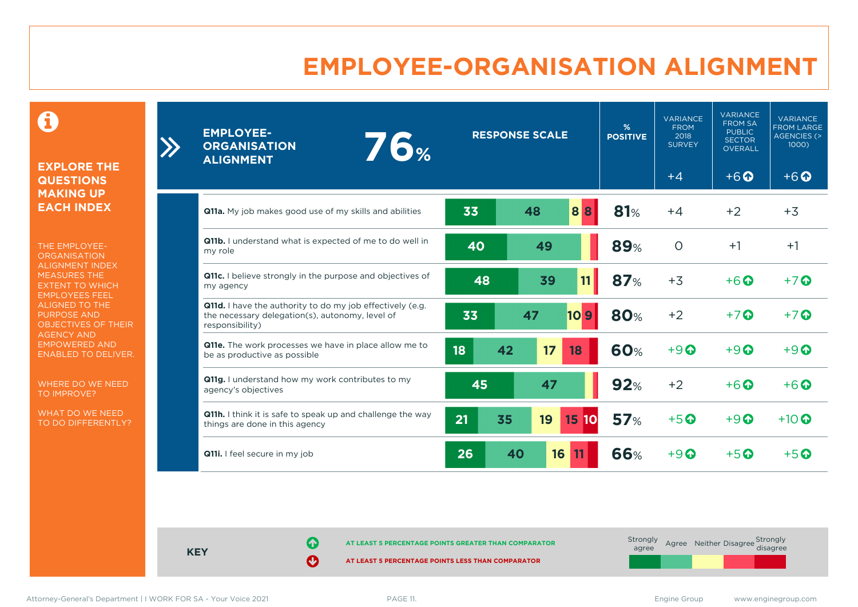# **EMPLOYEE-ORGANISATION ALIGNMENT**

0

#### **EXPLORE THE QUESTIONS MAKING UP EACH INDEX**

 $\sum$ 

THE EMPLOYEE-**ORGANISATION** ALIGNMENT INDEX MEASURES THE EXTENT TO WHICH EMPLOYEES FEEL ALIGNED TO THE PURPOSE AND OBJECTIVES OF THEIR AGENCY AND EMPOWERED AND ENABLED TO DELIVER.

WHERE DO WE NEED TO IMPROVE?

WHAT DO WE NEED TO DO DIFFERENTLY?

| <b>EMPLOYEE-</b><br><b>76%</b><br><b>ORGANISATION</b><br><b>ALIGNMENT</b>                                                       |          | <b>RESPONSE SCALE</b>         | %<br><b>POSITIVE</b> | <b>VARIANCE</b><br><b>FROM</b><br>2018<br><b>SURVEY</b> | <b>VARIANCE</b><br><b>FROM SA</b><br><b>PUBLIC</b><br><b>SECTOR</b><br><b>OVERALL</b> | <b>VARIANCE</b><br><b>FROM LARGE</b><br><b>AGENCIES (&gt;</b><br>1000 |
|---------------------------------------------------------------------------------------------------------------------------------|----------|-------------------------------|----------------------|---------------------------------------------------------|---------------------------------------------------------------------------------------|-----------------------------------------------------------------------|
|                                                                                                                                 |          |                               |                      | $+4$                                                    | $+6$ <sup>O</sup>                                                                     | $+6$ $\odot$                                                          |
| <b>Q11a.</b> My job makes good use of my skills and abilities                                                                   | 33       | 88<br>48                      | 81%                  | $+4$                                                    | $+2$                                                                                  | $+3$                                                                  |
| <b>Q11b.</b> I understand what is expected of me to do well in<br>my role                                                       | 40       | 49                            | <b>89%</b>           | $\circ$                                                 | $+1$                                                                                  | $+1$                                                                  |
| <b>Q11c.</b> I believe strongly in the purpose and objectives of<br>my agency                                                   | 48       | 11<br>39                      | <b>87%</b>           | $+3$                                                    | $+6\Omega$                                                                            | $+7$ $\odot$                                                          |
| Q11d. I have the authority to do my job effectively (e.g.<br>the necessary delegation(s), autonomy, level of<br>responsibility) | 33       | 47<br>109                     | 80%                  | $+2$                                                    | $+7$ $\odot$                                                                          | $+7$ $\odot$                                                          |
| Q11e. The work processes we have in place allow me to<br>be as productive as possible                                           | 18<br>42 | 17<br>18                      | <b>60%</b>           | $+9$ <sup><math>\odot</math></sup>                      | $+9$                                                                                  | $+9$ $\odot$                                                          |
| Q11g. I understand how my work contributes to my<br>agency's objectives                                                         | 45       | 47                            | 92%                  | $+2$                                                    | $+6$ $\Omega$                                                                         | $+6\Omega$                                                            |
| Q11h. I think it is safe to speak up and challenge the way<br>things are done in this agency                                    | 21<br>35 | 19<br>15 <sub>15</sub><br> 10 | 57%                  | $+5$ <sup>O</sup>                                       | $+9$ $\odot$                                                                          | $+10$ <sup>O</sup>                                                    |
| Q11i. I feel secure in my job                                                                                                   | 26       | 40<br>16<br>11                | <b>66%</b>           | $+9$ <sup><math>\odot</math></sup>                      | $+5$ $\odot$                                                                          | $+5$ $\odot$                                                          |

**KEY**

**AT LEAST 5 PERCENTAGE POINTS GREATER THAN COMPARATOR**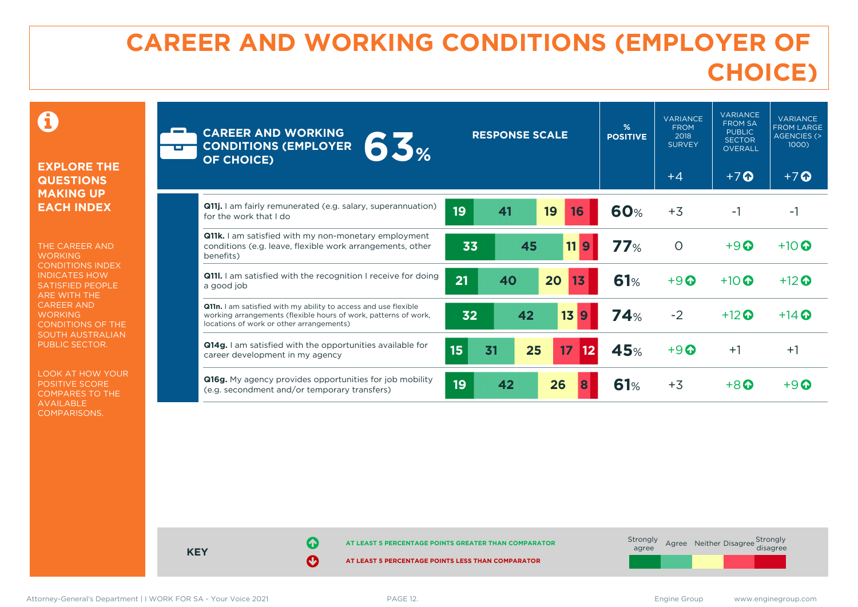# **CAREER AND WORKING CONDITIONS (EMPLOYER OF CHOICE)**

 $\mathbf \Theta$ 

#### **EXPLORE THE QUESTIONS MAKING UP EACH INDEX**

THE CAREER AND **WORKING** CONDITIONS INDEX INDICATES HOW SATISFIED PEOPLE ARE WITH THE CAREER AND **WORKING** CONDITIONS OF THE SOUTH AUSTRALIAN PUBLIC SECTOR.

LOOK AT HOW YOUR POSITIVE SCORE COMPARES TO THE AVAILABLE COMPARISONS.

| m | <b>CAREER AND WORKING</b><br>63%<br><b>CONDITIONS (EMPLOYER</b><br><b>OF CHOICE)</b>                                                                                           | <b>RESPONSE SCALE</b>       | %<br><b>POSITIVE</b> | <b>VARIANCE</b><br><b>FROM</b><br>2018<br><b>SURVEY</b><br>$+4$ | <b>VARIANCE</b><br><b>FROM SA</b><br><b>PUBLIC</b><br><b>SECTOR</b><br><b>OVERALL</b><br>$+7$ $\Omega$ | <b>VARIANCE</b><br><b>FROM LARGE</b><br><b>AGENCIES (&gt;</b><br>$1000$ )<br>$+7$ $\odot$ |
|---|--------------------------------------------------------------------------------------------------------------------------------------------------------------------------------|-----------------------------|----------------------|-----------------------------------------------------------------|--------------------------------------------------------------------------------------------------------|-------------------------------------------------------------------------------------------|
|   | <b>Q11j.</b> I am fairly remunerated (e.g. salary, superannuation)<br>for the work that I do                                                                                   | 19<br>19<br>41<br>16        | <b>60%</b>           | $+3$                                                            | $-1$                                                                                                   | -1                                                                                        |
|   | <b>Q11k.</b> I am satisfied with my non-monetary employment<br>conditions (e.g. leave, flexible work arrangements, other<br>benefits)                                          | 45<br>11 <sub>9</sub><br>33 | 77%                  | $\circ$                                                         | $+9$ <sup><math>\odot</math></sup>                                                                     | $+10$ $\odot$                                                                             |
|   | <b>Q111.</b> I am satisfied with the recognition I receive for doing<br>a good job                                                                                             | 21<br>20<br>40<br>13        | 61%                  | $+9$ $\odot$                                                    | $+10$ $\odot$                                                                                          | $+12$ $\odot$                                                                             |
|   | Q11n. I am satisfied with my ability to access and use flexible<br>working arrangements (flexible hours of work, patterns of work,<br>locations of work or other arrangements) | 13<br>32<br>42<br>9         | 74%                  | $-2$                                                            | $+12$ $\odot$                                                                                          | $+14$ $\odot$                                                                             |
|   | Q14g. I am satisfied with the opportunities available for<br>career development in my agency                                                                                   | 15<br>31<br>25<br>17<br>12  | 45%                  | $+9$ $\odot$                                                    | $+1$                                                                                                   | $+1$                                                                                      |
|   | <b>Q16g.</b> My agency provides opportunities for job mobility<br>(e.g. secondment and/or temporary transfers)                                                                 | 19<br>42<br>26              | 61%                  | $+3$                                                            | $+8$ $\Omega$                                                                                          | $+9$ $\odot$                                                                              |

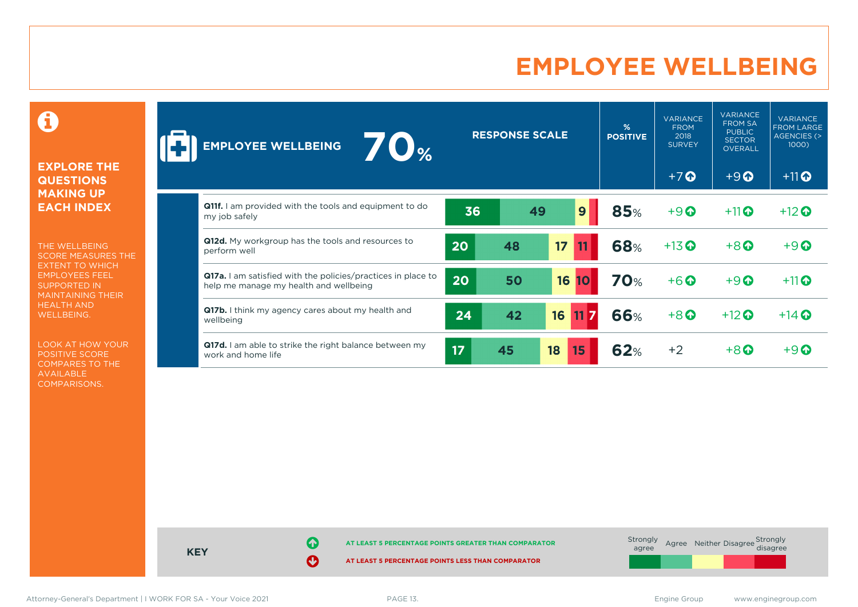# **EMPLOYEE WELLBEING**

0

#### **EXPLORE THE QUESTIONS MAKING UP EACH INDEX**

THE WELLBEING SCORE MEASURES THE EXTENT TO WHICH EMPLOYEES FEEL SUPPORTED IN MAINTAINING THEIR HEALTH AND WELLBEING.

LOOK AT HOW YOUR POSITIVE SCORE COMPARES TO THE AVAILABLE COMPARISONS.

| $\blacksquare$<br><b>EMPLOYEE WELLBEING</b>                                                            |    | <b>RESPONSE SCALE</b> |                 | %<br><b>POSITIVE</b> | <b>VARIANCE</b><br><b>FROM</b><br>2018<br><b>SURVEY</b> | <b>VARIANCE</b><br><b>FROM SA</b><br><b>PUBLIC</b><br><b>SECTOR</b><br>OVERALL | <b>VARIANCE</b><br><b>FROM LARGE</b><br><b>AGENCIES (&gt;</b><br>1000) |
|--------------------------------------------------------------------------------------------------------|----|-----------------------|-----------------|----------------------|---------------------------------------------------------|--------------------------------------------------------------------------------|------------------------------------------------------------------------|
|                                                                                                        |    |                       |                 |                      | $+7$                                                    | $+9$ <sup><math>\odot</math></sup>                                             | $+11$ <sup>O</sup>                                                     |
| <b>Q11f.</b> I am provided with the tools and equipment to do<br>my job safely                         | 36 |                       | 9<br>49         | <b>85%</b>           | $+9$                                                    | $+11$ <sup>O</sup>                                                             | $+12$ <sup>O</sup>                                                     |
| Q12d. My workgroup has the tools and resources to<br>perform well                                      | 20 | 48                    | 17              | <b>68%</b>           | $+13$ <sup>O</sup>                                      | $+8$ <sup><math>\odot</math></sup>                                             | $+9$ <sup><math>\odot</math></sup>                                     |
| Q17a. I am satisfied with the policies/practices in place to<br>help me manage my health and wellbeing | 20 | 50                    | 16<br><b>10</b> | <b>70%</b>           | $+6$ <sup><math>\odot</math></sup>                      | $+9$ <sup><math>\odot</math></sup>                                             | $+11$                                                                  |
| <b>Q17b.</b> I think my agency cares about my health and<br>wellbeing                                  | 24 | 42                    | 16 11 7         | <b>66%</b>           | $+8$ <sup>O</sup>                                       | $+12$ <sup>O</sup>                                                             | $+14$ $\odot$                                                          |
| Q17d. I am able to strike the right balance between my<br>work and home life                           | 17 | 45                    | 18<br>15        | 62%                  | $+2$                                                    | $+8$ $\odot$                                                                   | $+9$ $\mathbf{\Omega}$                                                 |

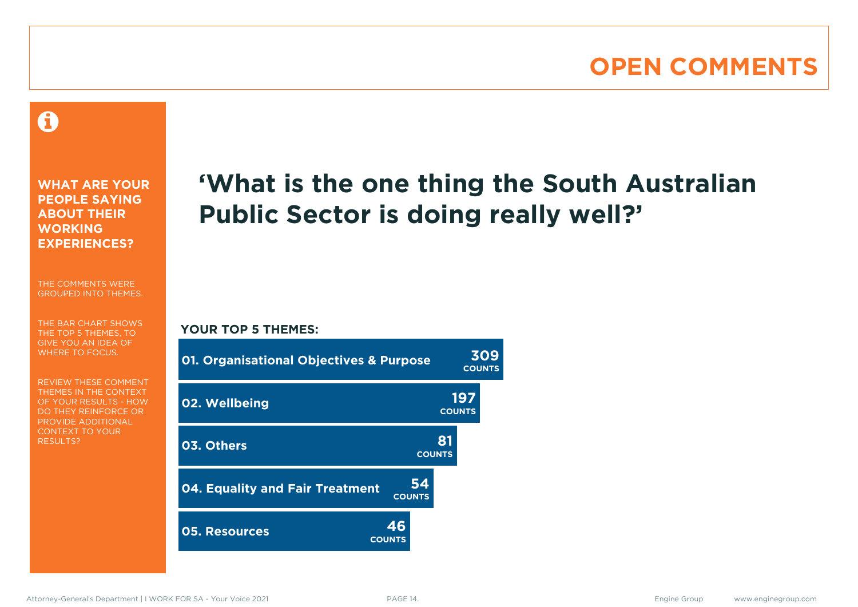# **OPEN COMMENTS**

### Ô

**WHAT ARE YOUR PEOPLE SAYING ABOUT THEIR WORKING EXPERIENCES?**

THE COMMENTS WERE GROUPED INTO THEMES.

THE BAR CHART SHOWS THE TOP 5 THEMES, TO GIVE YOU AN IDEA OF WHERE TO FOCUS.

REVIEW THESE COMMENT THEMES IN THE CONTEXT OF YOUR RESULTS - HOW DO THEY REINFORCE OR PROVIDE ADDITIONAL CONTEXT TO YOUR **RESULTS?** 

# **'What is the one thing the South Australian Public Sector is doing really well?'**

### **YOUR TOP 5 THEMES:**

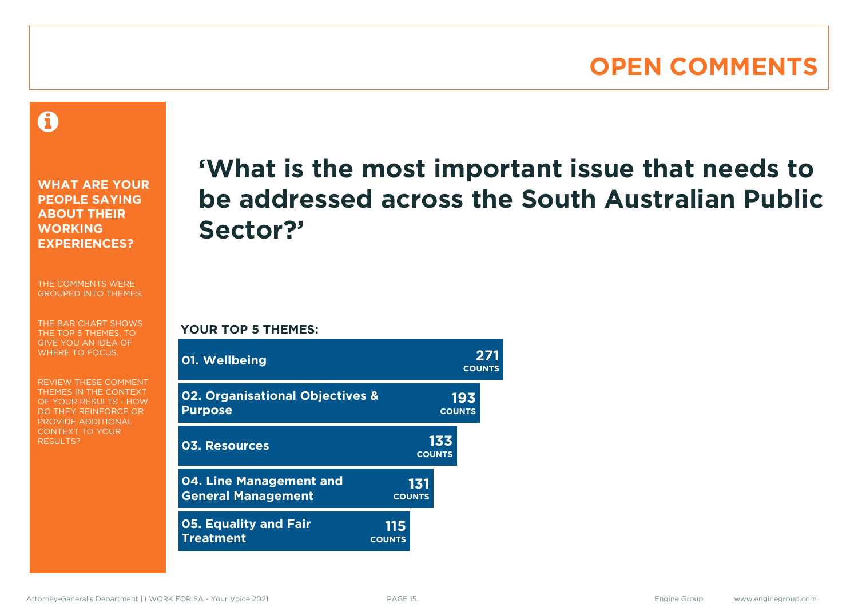### **OPEN COMMENTS**

A

**WHAT ARE YOUR PEOPLE SAYING ABOUT THEIR WORKING EXPERIENCES?**

THE COMMENTS WERE GROUPED INTO THEMES.

THE BAR CHART SHOWS THE TOP 5 THEMES, TO GIVE YOU AN IDEA OF WHERE TO FOCUS.

REVIEW THESE COMMENT THEMES IN THE CONTEXT OF YOUR RESULTS - HOW DO THEY REINFORCE OR PROVIDE ADDITIONAL CONTEXT TO YOUR **RESULTS?** 

# **'What is the most important issue that needs to be addressed across the South Australian Public Sector?'**

**COUNTS**

**YOUR TOP 5 THEMES:**

| 01. Wellbeing                                                |                      |                      | <b>COUNTS</b>        |  |
|--------------------------------------------------------------|----------------------|----------------------|----------------------|--|
| <b>02. Organisational Objectives &amp;</b><br><b>Purpose</b> |                      |                      | 193<br><b>COUNTS</b> |  |
| <b>03. Resources</b>                                         |                      | 133<br><b>COUNTS</b> |                      |  |
| 04. Line Management and<br><b>General Management</b>         | <b>COUNTS</b>        | 131                  |                      |  |
| <b>05. Equality and Fair</b><br><b>Treatment</b>             | 115<br><b>COUNTS</b> |                      |                      |  |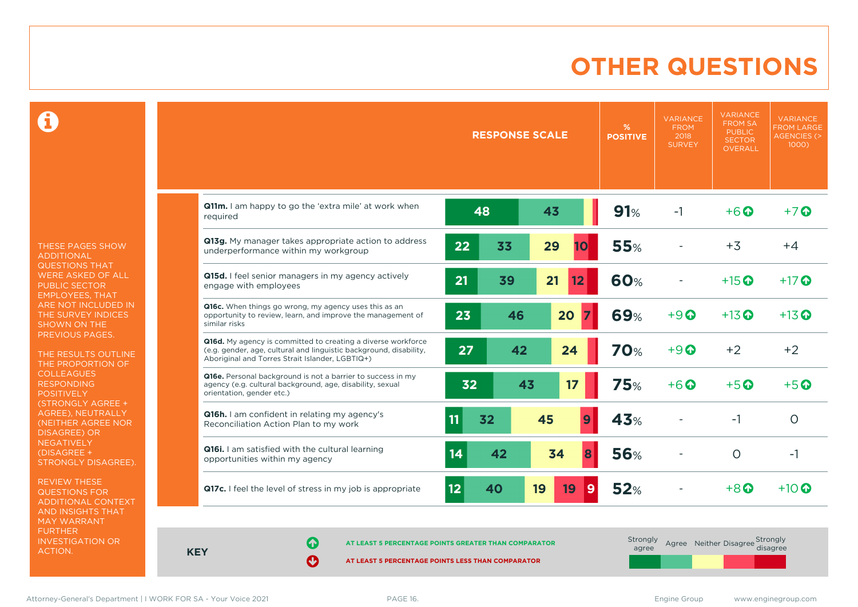# **OTHER QUESTIONS**

0

THESE PAGES SHOW ADDITIONAL QUESTIONS THAT WERE ASKED OF ALL PUBLIC SECTOR EMPLOYEES, THAT ARE NOT INCLUDED IN THE SURVEY INDICES SHOWN ON THE PREVIOUS PAGES.

THE RESULTS OUTLINE THE PROPORTION OF COLLEAGUES RESPONDING **POSITIVELY** (STRONGLY AGREE + AGREE), NEUTRALLY (NEITHER AGREE NOR DISAGREE) OR **NEGATIVELY** (DISAGREE + STRONGLY DISAGREE).

REVIEW THESE QUESTIONS FOR ADDITIONAL CONTEXT AND INSIGHTS THAT MAY WARRANT FURTHER INVESTIGATION OR ACTION.

|                                                                                                                                                                                       |          | <b>RESPONSE SCALE</b> |    |                  | %<br><b>POSITIVE</b> | <b>VARIANCE</b><br><b>FROM</b><br>2018<br><b>SURVEY</b> | <b>VARIANCE</b><br><b>FROM SA</b><br><b>PUBLIC</b><br><b>SECTOR</b><br><b>OVERALL</b> | <b>VARIANCE</b><br><b>FROM LARGE</b><br>AGENCIES <sub>(&gt;</sub><br>1000) |
|---------------------------------------------------------------------------------------------------------------------------------------------------------------------------------------|----------|-----------------------|----|------------------|----------------------|---------------------------------------------------------|---------------------------------------------------------------------------------------|----------------------------------------------------------------------------|
| Q11m. I am happy to go the 'extra mile' at work when<br>reauired                                                                                                                      | 48       |                       | 43 |                  | 91%                  | $-1$                                                    | $+6$ $\odot$                                                                          | $+7$ $\odot$                                                               |
| Q13g. My manager takes appropriate action to address<br>underperformance within my workgroup                                                                                          | 22       | 33                    | 29 | 10               | <b>55%</b>           |                                                         | $+3$                                                                                  | $+4$                                                                       |
| Q15d. I feel senior managers in my agency actively<br>engage with employees                                                                                                           | 21       | 39                    | 21 | 12               | <b>60%</b>           |                                                         | $+15$ $\odot$                                                                         | $+17$ $\odot$                                                              |
| Q16c. When things go wrong, my agency uses this as an<br>opportunity to review, learn, and improve the management of<br>similar risks                                                 | 23       | 46                    | 20 |                  | <b>69%</b>           | $+9$                                                    | $+13$ <sup><math>\odot</math></sup>                                                   | $+13$ <sup>O</sup>                                                         |
| Q16d. My agency is committed to creating a diverse workforce<br>(e.g. gender, age, cultural and linguistic background, disability,<br>Aboriginal and Torres Strait Islander, LGBTIQ+) | 27       | 42                    |    | 24               | <b>70%</b>           | $+9$ $\Omega$                                           | $+2$                                                                                  | $+2$                                                                       |
| Q16e. Personal background is not a barrier to success in my<br>agency (e.g. cultural background, age, disability, sexual<br>orientation, gender etc.)                                 | 32       | 43                    |    | 17               | <b>75%</b>           | $+6$ $\odot$                                            | $+5$ $\odot$                                                                          | $+5\Omega$                                                                 |
| Q16h. I am confident in relating my agency's<br>Reconciliation Action Plan to my work                                                                                                 | 11<br>32 |                       | 45 | $\boldsymbol{9}$ | 43%                  |                                                         | $-1$                                                                                  | $\circ$                                                                    |
| Q16i. I am satisfied with the cultural learning<br>opportunities within my agency                                                                                                     | 14       | 42                    | 34 | 8                | <b>56%</b>           |                                                         | $\circ$                                                                               | $-1$                                                                       |
| Q17c. I feel the level of stress in my job is appropriate                                                                                                                             | 12       | 40                    | 19 | 9<br>19          | <b>52%</b>           |                                                         | $+8$ <sup><math>\odot</math></sup>                                                    | $+10$ $\odot$                                                              |

**KEY**

**AT LEAST 5 PERCENTAGE POINTS GREATER THAN COMPARATOR** 

| Strongly<br>agree |  | Agree Neither Disagree Strongly<br>disagree |  |
|-------------------|--|---------------------------------------------|--|
|                   |  |                                             |  |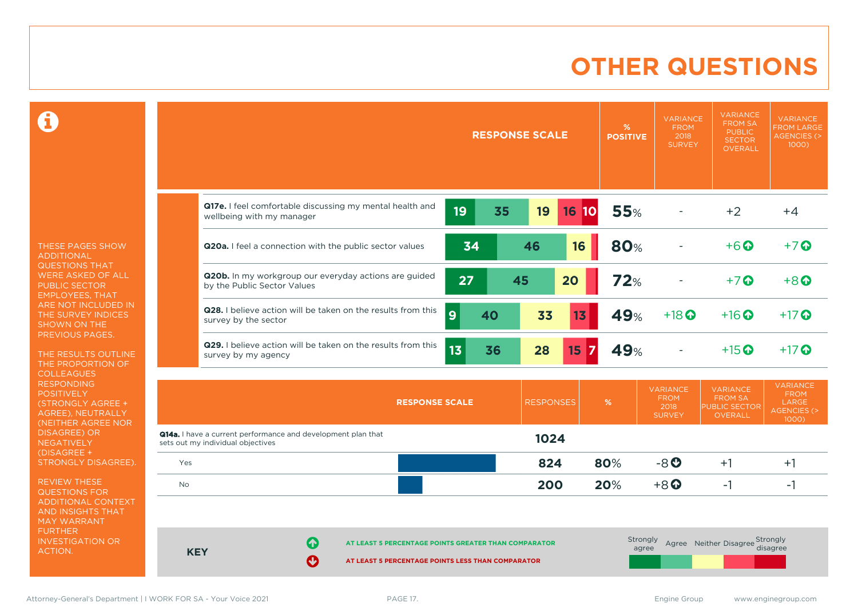# **OTHER QUESTIONS**

 $\mathbf \Omega$ 

THESE PAGES SHOW ADDITIONAL QUESTIONS THAT WERE ASKED OF ALL PUBLIC SECTOR EMPLOYEES, THAT ARE NOT INCLUDED IN THE SURVEY INDICES SHOWN ON THE PREVIOUS PAGES.

THE RESULTS OUTLINE THE PROPORTION OF COLLEAGUES RESPONDING **POSITIVELY** (STRONGLY AGREE + AGREE), NEUTRALLY (NEITHER AGREE NOR DISAGREE) OR NEGATIVELY (DISAGREE + STRONGLY DISAGREE).

REVIEW THESE QUESTIONS FOR ADDITIONAL CONTEXT AND INSIGHTS THAT MAY WARRANT FURTHER INVESTIGATION OR ACTION.

|            | <b>RESPONSE SCALE</b>                                                                                                    | %<br><b>POSITIVE</b> | <b>VARIANCE</b><br><b>FROM</b><br>2018<br><b>SURVEY</b> | <b>VARIANCE</b><br><b>FROM SA</b><br><b>PUBLIC</b><br><b>SECTOR</b><br><b>OVERALL</b> | <b>VARIANCE</b><br><b>FROM LARGE</b><br><b>AGENCIES (&gt;</b><br>1000)           |
|------------|--------------------------------------------------------------------------------------------------------------------------|----------------------|---------------------------------------------------------|---------------------------------------------------------------------------------------|----------------------------------------------------------------------------------|
|            |                                                                                                                          |                      |                                                         |                                                                                       |                                                                                  |
|            | Q17e. I feel comfortable discussing my mental health and<br>19<br>35<br>19<br><b>16 10</b><br>wellbeing with my manager  | <b>55%</b>           |                                                         | $+2$                                                                                  | $+4$                                                                             |
|            | 34<br>16<br>46<br>Q20a. I feel a connection with the public sector values                                                | 80%                  |                                                         | $+6$ <sup>O</sup>                                                                     | $+7$ $\odot$                                                                     |
|            | Q20b. In my workgroup our everyday actions are guided<br>27<br>45<br>20<br>by the Public Sector Values                   | 72%                  |                                                         | $+7$ $\odot$                                                                          | $+8$ <sup><math>\odot</math></sup>                                               |
|            | Q28. I believe action will be taken on the results from this<br>$\overline{9}$<br>40<br>33<br>13<br>survey by the sector | 49%                  | $+18$ <sup>O</sup>                                      | $+16$ <sup>O</sup>                                                                    | $+17$ $\odot$                                                                    |
|            | Q29. I believe action will be taken on the results from this<br>13 <sub>1</sub><br>36<br>28<br>15<br>survey by my agency | 49%                  |                                                         | $+15$ <sup>O</sup>                                                                    | $+17$ $\odot$                                                                    |
|            | <b>RESPONSES</b><br><b>RESPONSE SCALE</b>                                                                                | %                    | <b>VARIANCE</b><br><b>FROM</b><br>2018<br><b>SURVEY</b> | <b>VARIANCE</b><br><b>FROM SA</b><br>PUBLIC SECTOR<br><b>OVERALL</b>                  | <b>VARIANCE</b><br><b>FROM</b><br><b>LARGE</b><br><b>AGENCIES (&gt;</b><br>1000) |
|            | Q14a. I have a current performance and development plan that<br>1024<br>sets out my individual objectives                |                      |                                                         |                                                                                       |                                                                                  |
| Yes        | 824                                                                                                                      | 80%                  | $-8$ <sup>O</sup>                                       | $+1$                                                                                  | $+1$                                                                             |
| No         | 200                                                                                                                      | 20%                  | $+8$ $\odot$                                            | $-1$                                                                                  | $-1$                                                                             |
| <b>KEY</b> | Ø<br>AT LEAST 5 PERCENTAGE POINTS GREATER THAN COMPARATOR<br>Ø<br>AT LEAST 5 PERCENTAGE POINTS LESS THAN COMPARATOR      | Strongly<br>agree    |                                                         | Agree Neither Disagree Strongly                                                       | disagree                                                                         |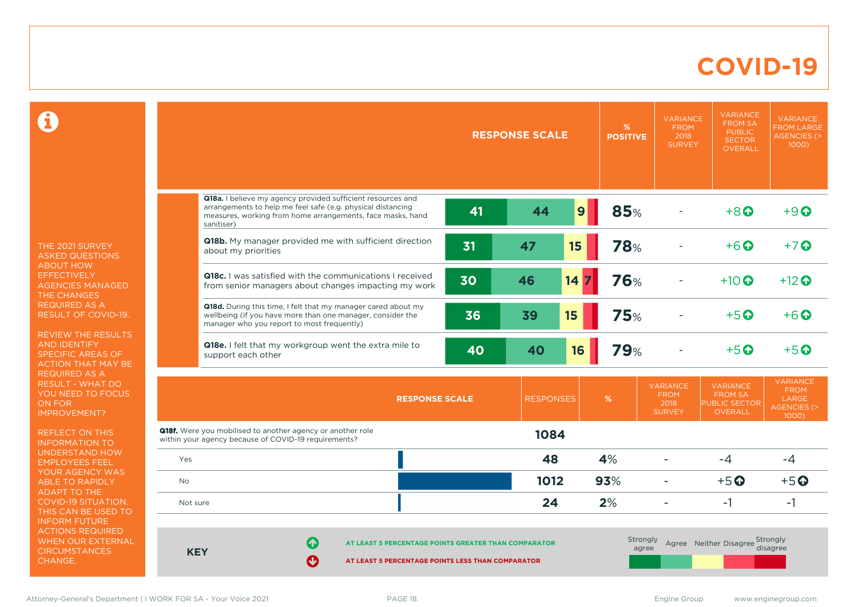### **COVID-19**

 $\mathbf \Omega$ 

THE 2021 SURVEY ASKED QUESTIONS ABOUT HOW **EFFECTIVELY** AGENCIES MANAGED THE CHANGES REQUIRED AS A RESULT OF COVID-19.

REVIEW THE RESULTS AND IDENTIFY SPECIFIC AREAS OF ACTION THAT MAY BE REQUIRED AS A RESULT - WHAT DO YOU NEED TO FOCUS ON FOR IMPROVEMENT?

REFLECT ON THIS INFORMATION TO UNDERSTAND HOW EMPLOYEES FEEL YOUR AGENCY WAS ABLE TO RAPIDLY ADAPT TO THE COVID-19 SITUATION. THIS CAN BE USED TO INFORM FUTURE ACTIONS REQUIRED WHEN OUR EXTERNAL **CIRCUMSTANCES** CHANGE.

|            |                                                                                                                                                                                                        | <b>RESPONSE SCALE</b> |                  |    | %<br><b>POSITIVE</b> | <b>VARIANCE</b><br><b>FROM</b><br>2018<br><b>SURVEY</b> | <b>VARIANCE</b><br><b>FROM SA</b><br><b>PUBLIC</b><br><b>SECTOR</b><br><b>OVERALL</b> | <b>VARIANCE</b><br><b>FROM LARGE</b><br><b>AGENCIES (&gt;</b><br>1000)    |
|------------|--------------------------------------------------------------------------------------------------------------------------------------------------------------------------------------------------------|-----------------------|------------------|----|----------------------|---------------------------------------------------------|---------------------------------------------------------------------------------------|---------------------------------------------------------------------------|
|            | Q18a. I believe my agency provided sufficient resources and<br>arrangements to help me feel safe (e.g. physical distancing<br>measures, working from home arrangements, face masks, hand<br>sanitiser) | 41                    | 44               | 9  | 85%                  |                                                         | $+8$ <sup><math>\odot</math></sup>                                                    | $+9$ $\Omega$                                                             |
|            | Q18b. My manager provided me with sufficient direction<br>about my priorities                                                                                                                          | 31                    | 47               | 15 | <b>78%</b>           |                                                         | $+6\Omega$                                                                            | $+7$ $\Omega$                                                             |
|            | Q18c. I was satisfied with the communications I received<br>from senior managers about changes impacting my work                                                                                       | 30                    | 46               | 14 | <b>76%</b>           |                                                         | $+10$ $\odot$                                                                         | $+12$ <sup><math>\odot</math></sup>                                       |
|            | Q18d. During this time, I felt that my manager cared about my<br>wellbeing (if you have more than one manager, consider the<br>manager who you report to most frequently)                              | 36                    | 39               | 15 | <b>75%</b>           |                                                         | $+5$ <sup><math>\odot</math></sup>                                                    | $+6$ $\odot$                                                              |
|            | Q18e. I felt that my workgroup went the extra mile to<br>support each other                                                                                                                            | 40                    | 40               | 16 | <b>79%</b>           |                                                         | $+5$ $\odot$                                                                          | $+5$ <sup><math>\odot</math></sup>                                        |
|            | <b>RESPONSE SCALE</b>                                                                                                                                                                                  |                       | <b>RESPONSES</b> |    | %                    | <b>VARIANCE</b><br><b>FROM</b><br>2018<br><b>SURVEY</b> | <b>VARIANCE</b><br><b>FROM SA</b><br><b>PUBLIC SECTOR</b><br><b>OVERALL</b>           | <b>VARIANCE</b><br><b>FROM</b><br>LARGE<br><b>AGENCIES (&gt;</b><br>1000) |
|            | <b>Q18f.</b> Were you mobilised to another agency or another role<br>within your agency because of COVID-19 requirements?                                                                              |                       | 1084             |    |                      |                                                         |                                                                                       |                                                                           |
| Yes        |                                                                                                                                                                                                        |                       | 48               |    | 4%                   |                                                         | $-4$                                                                                  | $-4$                                                                      |
| <b>No</b>  |                                                                                                                                                                                                        |                       | 1012             |    | 93%                  |                                                         | $+5$ <sup>O</sup>                                                                     | $+5$ <sup>O</sup>                                                         |
| Not sure   |                                                                                                                                                                                                        |                       | 24               |    | 2%                   | $\blacksquare$                                          | $-1$                                                                                  | $-1$                                                                      |
| <b>KEY</b> | $\Omega$<br>AT LEAST 5 PERCENTAGE POINTS GREATER THAN COMPARATOR<br>$\boldsymbol{\odot}$<br>AT LEAST 5 PERCENTAGE POINTS LESS THAN COMPARATOR                                                          |                       |                  |    | Strongly<br>agree    |                                                         | Agree Neither Disagree Strongly                                                       | disagree                                                                  |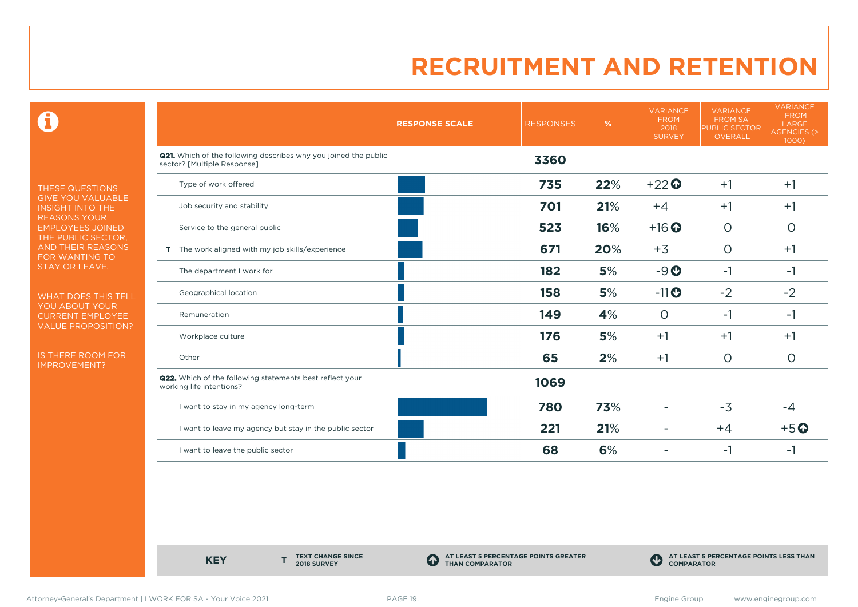$\mathbf \Theta$ 

THESE QUESTIONS GIVE YOU VALUABLE INSIGHT INTO THE REASONS YOUR EMPLOYEES JOINED THE PUBLIC SECTOR, AND THEIR REASONS FOR WANTING TO STAY OR LEAVE.

WHAT DOES THIS TELL YOU ABOUT YOUR CURRENT EMPLOYEE VALUE PROPOSITION?

IS THERE ROOM FOR IMPROVEMENT?

|                                                                                                       | <b>RESPONSE SCALE</b> | <b>RESPONSES</b> | %   | <b>VARIANCE</b><br><b>FROM</b><br>2018<br><b>SURVEY</b> | <b>VARIANCE</b><br><b>FROM SA</b><br><b>PUBLIC SECTOR</b><br><b>OVERALL</b> | <b>VARIANCE</b><br><b>FROM</b><br>LARGE<br><b>AGENCIES (&gt;</b><br>1000) |
|-------------------------------------------------------------------------------------------------------|-----------------------|------------------|-----|---------------------------------------------------------|-----------------------------------------------------------------------------|---------------------------------------------------------------------------|
| <b>Q21.</b> Which of the following describes why you joined the public<br>sector? [Multiple Response] |                       | 3360             |     |                                                         |                                                                             |                                                                           |
| Type of work offered                                                                                  |                       | 735              | 22% | $+22$                                                   | $+1$                                                                        | $+1$                                                                      |
| Job security and stability                                                                            |                       | 701              | 21% | $+4$                                                    | $+1$                                                                        | $+1$                                                                      |
| Service to the general public                                                                         |                       | 523              | 16% | $+16$ <sup>O</sup>                                      | $\circ$                                                                     | $\circ$                                                                   |
| T The work aligned with my job skills/experience                                                      |                       | 671              | 20% | $+3$                                                    | $\circ$                                                                     | $+1$                                                                      |
| The department I work for                                                                             |                       | 182              | 5%  | $-9O$                                                   | $-1$                                                                        | $-1$                                                                      |
| Geographical location                                                                                 |                       | 158              | 5%  | $-11$                                                   | $-2$                                                                        | $-2$                                                                      |
| Remuneration                                                                                          |                       | 149              | 4%  | $\circ$                                                 | $-1$                                                                        | -1                                                                        |
| Workplace culture                                                                                     |                       | 176              | 5%  | $+1$                                                    | $+1$                                                                        | $+1$                                                                      |
| Other                                                                                                 |                       | 65               | 2%  | $+1$                                                    | $\circ$                                                                     | $\circ$                                                                   |
| <b>Q22.</b> Which of the following statements best reflect your<br>working life intentions?           |                       | 1069             |     |                                                         |                                                                             |                                                                           |
| I want to stay in my agency long-term                                                                 |                       | 780              | 73% |                                                         | $-3$                                                                        | $-4$                                                                      |
| I want to leave my agency but stay in the public sector                                               |                       | 221              | 21% |                                                         | $+4$                                                                        | $+5o$                                                                     |
| I want to leave the public sector                                                                     |                       | 68               | 6%  |                                                         | -1                                                                          | -1                                                                        |

**KEY** 

**TEXT CHANGE SINCE 2018 SURVEY**

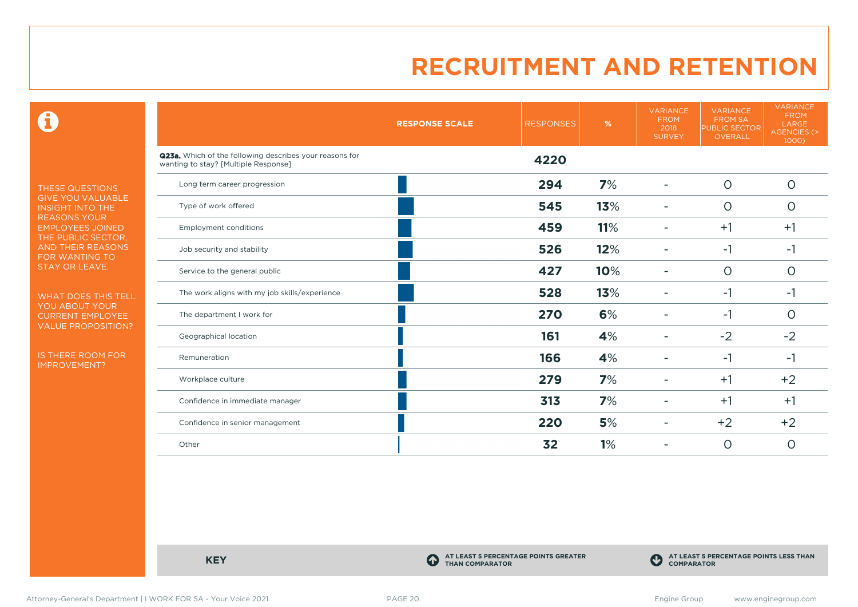$\mathbf \Omega$ 

THESE QUESTIONS GIVE YOU VALUABLE INSIGHT INTO THE REASONS YOUR EMPLOYEES JOINED THE PUBLIC SECTOR, AND THEIR REASONS FOR WANTING TO STAY OR LEAVE.

WHAT DOES THIS TELL YOU ABOUT YOUR CURRENT EMPLOYEE VALUE PROPOSITION?

IS THERE ROOM FOR IMPROVEMENT?

|                                                                                                 | <b>RESPONSE SCALE</b> | <b>RESPONSES</b> | %   | <b>VARIANCE</b><br><b>FROM</b><br>2018<br><b>SURVEY</b> | <b>VARIANCE</b><br><b>FROM SA</b><br><b>PUBLIC SECTOR</b><br><b>OVERALL</b> | <b>VARIANCE</b><br><b>FROM</b><br>LARGE<br><b>AGENCIES (&gt;</b><br>1000) |
|-------------------------------------------------------------------------------------------------|-----------------------|------------------|-----|---------------------------------------------------------|-----------------------------------------------------------------------------|---------------------------------------------------------------------------|
| Q23a. Which of the following describes your reasons for<br>wanting to stay? [Multiple Response] |                       | 4220             |     |                                                         |                                                                             |                                                                           |
| Long term career progression                                                                    |                       | 294              | 7%  |                                                         | $\circ$                                                                     | $\circ$                                                                   |
| Type of work offered                                                                            |                       | 545              | 13% |                                                         | $\circ$                                                                     | $\circ$                                                                   |
| <b>Employment conditions</b>                                                                    |                       | 459              | 11% |                                                         | $+1$                                                                        | $+1$                                                                      |
| Job security and stability                                                                      |                       | 526              | 12% |                                                         | $-1$                                                                        | $-1$                                                                      |
| Service to the general public                                                                   |                       | 427              | 10% |                                                         | $\circ$                                                                     | $\circ$                                                                   |
| The work aligns with my job skills/experience                                                   |                       | 528              | 13% |                                                         | $-1$                                                                        | $-1$                                                                      |
| The department I work for                                                                       |                       | 270              | 6%  |                                                         | $-1$                                                                        | $\circ$                                                                   |
| Geographical location                                                                           |                       | 161              | 4%  |                                                         | $-2$                                                                        | $-2$                                                                      |
| Remuneration                                                                                    |                       | 166              | 4%  |                                                         | $-1$                                                                        | $-1$                                                                      |
| Workplace culture                                                                               |                       | 279              | 7%  |                                                         | $+1$                                                                        | $+2$                                                                      |
| Confidence in immediate manager                                                                 |                       | 313              | 7%  |                                                         | $+1$                                                                        | $+1$                                                                      |
| Confidence in senior management                                                                 |                       | 220              | 5%  |                                                         | $+2$                                                                        | $+2$                                                                      |
| Other                                                                                           |                       | 32               | 1%  |                                                         | $\circ$                                                                     | $\circ$                                                                   |

**KEY C** 

**AT LEAST 5 PERCENTAGE POINTS GREATER THAN COMPARATOR**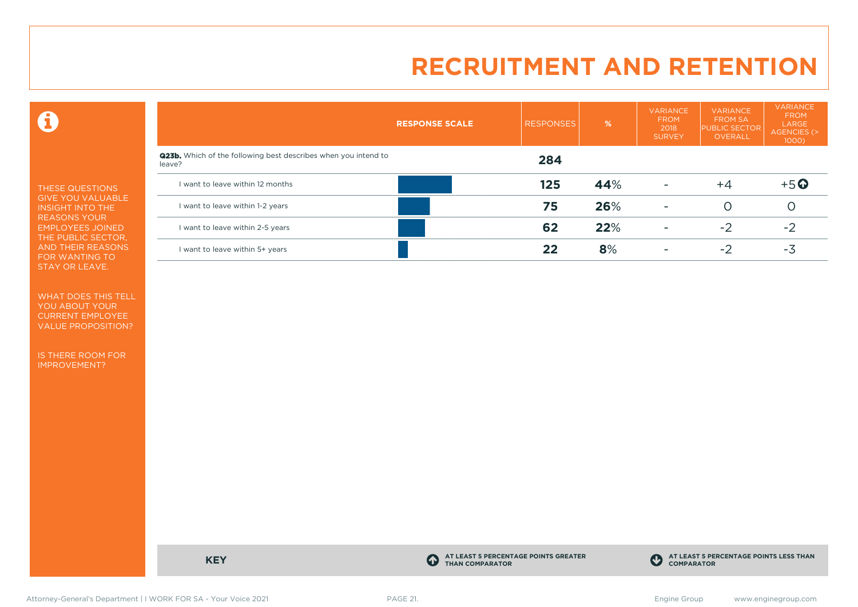$\mathbf \Theta$ 

THESE QUESTIONS GIVE YOU VALUABLE INSIGHT INTO THE REASONS YOUR EMPLOYEES JOINED THE PUBLIC SECTOR, AND THEIR REASONS FOR WANTING TO STAY OR LEAVE.

WHAT DOES THIS TELL YOU ABOUT YOUR CURRENT EMPLOYEE VALUE PROPOSITION?

IS THERE ROOM FOR IMPROVEMENT?

|                                                                                 | <b>RESPONSE SCALE</b> | <b>RESPONSES</b> | %   | <b>VARIANCE</b><br><b>FROM</b><br>2018<br><b>SURVEY</b> | <b>VARIANCE</b><br><b>FROM SA</b><br><b>PUBLIC SECTOR</b><br><b>OVERALL</b> | <b>VARIANCE</b><br><b>FROM</b><br>LARGE<br>AGENCIES (><br>1000) |
|---------------------------------------------------------------------------------|-----------------------|------------------|-----|---------------------------------------------------------|-----------------------------------------------------------------------------|-----------------------------------------------------------------|
| <b>Q23b.</b> Which of the following best describes when you intend to<br>leave? |                       | 284              |     |                                                         |                                                                             |                                                                 |
| I want to leave within 12 months                                                |                       | 125              | 44% | ۰                                                       | $+4$                                                                        | $+5$ <sup>O</sup>                                               |
| I want to leave within 1-2 years                                                |                       | 75               | 26% | ٠                                                       | $\left( \right)$                                                            | Ő                                                               |
| I want to leave within 2-5 years                                                |                       | 62               | 22% | ۰                                                       | $-2$                                                                        | $-2$                                                            |
| I want to leave within 5+ years                                                 |                       | 22               | 8%  | ۰                                                       | $-2$                                                                        | -3                                                              |

**KEY C** 

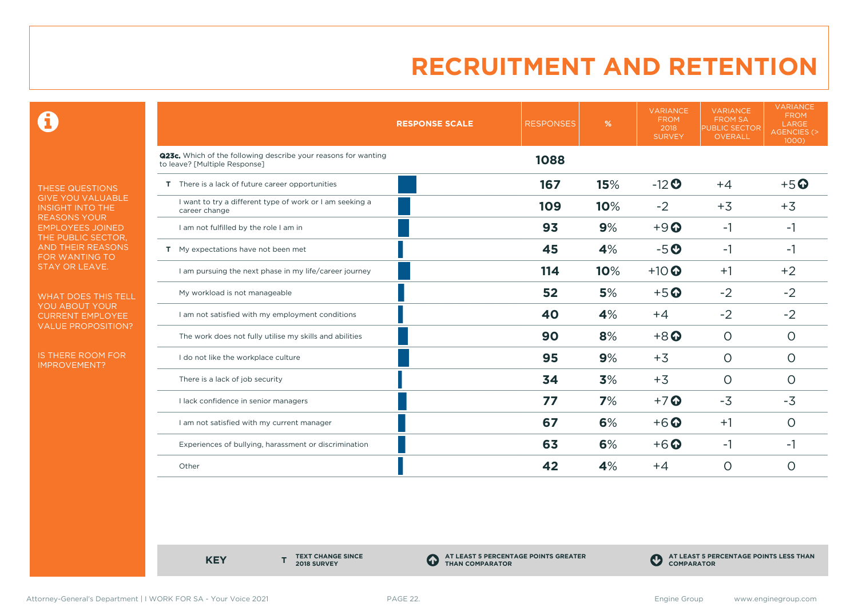$\mathbf \Theta$ 

THESE QUESTIONS GIVE YOU VALUABLE INSIGHT INTO THE REASONS YOUR EMPLOYEES JOINED THE PUBLIC SECTOR, AND THEIR REASONS FOR WANTING TO STAY OR LEAVE.

WHAT DOES THIS TELL YOU ABOUT YOUR CURRENT EMPLOYEE VALUE PROPOSITION?

IS THERE ROOM FOR IMPROVEMENT?

|                                                                                                 | <b>RESPONSE SCALE</b> | <b>RESPONSES</b> | %   | <b>VARIANCE</b><br><b>FROM</b><br>2018<br><b>SURVEY</b> | <b>VARIANCE</b><br><b>FROM SA</b><br>PUBLIC SECTOR<br>OVERALL | <b>VARIANCE</b><br><b>FROM</b><br>LARGE<br>AGENCIES (><br>1000) |
|-------------------------------------------------------------------------------------------------|-----------------------|------------------|-----|---------------------------------------------------------|---------------------------------------------------------------|-----------------------------------------------------------------|
| Q23c. Which of the following describe your reasons for wanting<br>to leave? [Multiple Response] |                       | 1088             |     |                                                         |                                                               |                                                                 |
| T There is a lack of future career opportunities                                                |                       | 167              | 15% | $-12$ <sup>O</sup>                                      | $+4$                                                          | $+5o$                                                           |
| I want to try a different type of work or I am seeking a<br>career change                       |                       | 109              | 10% | $-2$                                                    | $+3$                                                          | $+3$                                                            |
| I am not fulfilled by the role I am in                                                          |                       | 93               | 9%  | $+9$ <sup><math>\odot</math></sup>                      | $-1$                                                          | -1                                                              |
| T My expectations have not been met                                                             |                       | 45               | 4%  | $-5o$                                                   | $-1$                                                          | -1                                                              |
| I am pursuing the next phase in my life/career journey                                          |                       | 114              | 10% | $+10$                                                   | $+1$                                                          | $+2$                                                            |
| My workload is not manageable                                                                   |                       | 52               | 5%  | $+5$ <sup>O</sup>                                       | $-2$                                                          | $-2$                                                            |
| I am not satisfied with my employment conditions                                                |                       | 40               | 4%  | $+4$                                                    | $-2$                                                          | $-2$                                                            |
| The work does not fully utilise my skills and abilities                                         |                       | 90               | 8%  | $+8$ <sup>O</sup>                                       | $\circ$                                                       | $\circ$                                                         |
| I do not like the workplace culture                                                             |                       | 95               | 9%  | $+3$                                                    | $\overline{O}$                                                | $\circ$                                                         |
| There is a lack of job security                                                                 |                       | 34               | 3%  | $+3$                                                    | $\circ$                                                       | $\circ$                                                         |
| I lack confidence in senior managers                                                            |                       | 77               | 7%  | $+7$ $\odot$                                            | $-3$                                                          | $-3$                                                            |
| I am not satisfied with my current manager                                                      |                       | 67               | 6%  | $+6$ <sup>O</sup>                                       | $+1$                                                          | $\circ$                                                         |
| Experiences of bullying, harassment or discrimination                                           |                       | 63               | 6%  | $+6$ <sup>O</sup>                                       | -1                                                            | -1                                                              |
| Other                                                                                           |                       | 42               | 4%  | $+4$                                                    | 0                                                             | O                                                               |

**KEY** 

**TEXT CHANGE SINCE 2018 SURVEY**

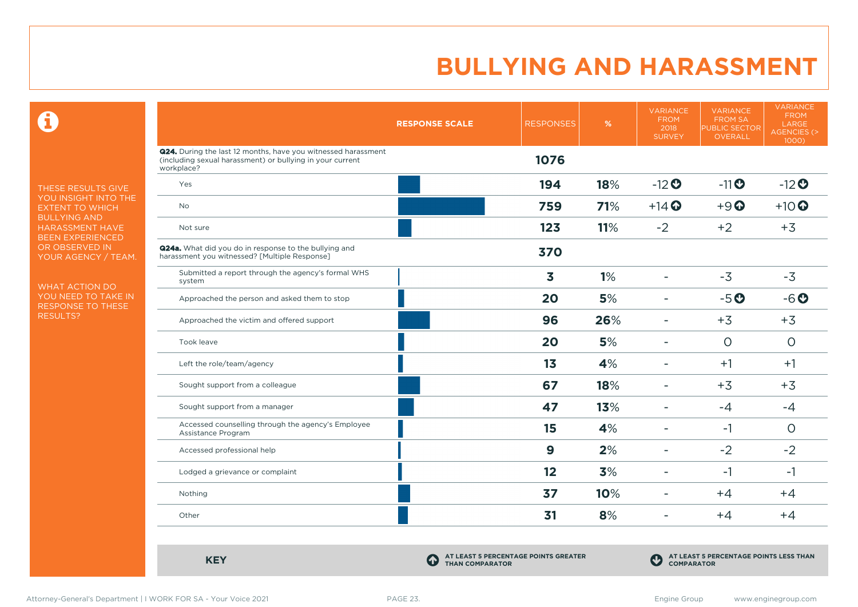$\mathbf \Omega$ 

THESE RESULTS GIVE YOU INSIGHT INTO THE EXTENT TO WHICH BULLYING AND HARASSMENT HAVE BEEN EXPERIENCED OR OBSERVED IN YOUR AGENCY / TEAM.

WHAT ACTION DO YOU NEED TO TAKE IN RESPONSE TO THESE RESULTS?

|                                                                                                                                          | <b>RESPONSE SCALE</b> | <b>RESPONSES</b> | %   | <b>VARIANCE</b><br><b>FROM</b><br>2018<br><b>SURVEY</b> | <b>VARIANCE</b><br><b>FROM SA</b><br><b>PUBLIC SECTOR</b><br>OVERALL | <b>VARIANCE</b><br><b>FROM</b><br>LARGE<br>AGENCIES (><br>1000) |
|------------------------------------------------------------------------------------------------------------------------------------------|-----------------------|------------------|-----|---------------------------------------------------------|----------------------------------------------------------------------|-----------------------------------------------------------------|
| Q24. During the last 12 months, have you witnessed harassment<br>(including sexual harassment) or bullying in your current<br>workplace? |                       | 1076             |     |                                                         |                                                                      |                                                                 |
| Yes                                                                                                                                      |                       | 194              | 18% | $-12$ <sup>O</sup>                                      | $-11$ $\odot$                                                        | $-12$ <sup>O</sup>                                              |
| <b>No</b>                                                                                                                                |                       | 759              | 71% | $+14$ $\odot$                                           | $+9$ <sup><math>\odot</math></sup>                                   | $+10$                                                           |
| Not sure                                                                                                                                 |                       | 123              | 11% | $-2$                                                    | $+2$                                                                 | $+3$                                                            |
| <b>Q24a.</b> What did you do in response to the bullying and<br>harassment you witnessed? [Multiple Response]                            |                       | 370              |     |                                                         |                                                                      |                                                                 |
| Submitted a report through the agency's formal WHS<br>system                                                                             |                       | 3                | 1%  | $\blacksquare$                                          | $-3$                                                                 | $-3$                                                            |
| Approached the person and asked them to stop                                                                                             |                       | 20               | 5%  | $\overline{\phantom{a}}$                                | $-5o$                                                                | $-6o$                                                           |
| Approached the victim and offered support                                                                                                |                       | 96               | 26% | $\blacksquare$                                          | $+3$                                                                 | $+3$                                                            |
| Took leave                                                                                                                               |                       | 20               | 5%  | $\overline{\phantom{a}}$                                | $\circ$                                                              | $\circ$                                                         |
| Left the role/team/agency                                                                                                                |                       | 13               | 4%  | $\blacksquare$                                          | $+1$                                                                 | $+1$                                                            |
| Sought support from a colleague                                                                                                          |                       | 67               | 18% | $\overline{\phantom{a}}$                                | $+3$                                                                 | $+3$                                                            |
| Sought support from a manager                                                                                                            |                       | 47               | 13% | ٠                                                       | $-4$                                                                 | $-4$                                                            |
| Accessed counselling through the agency's Employee<br>Assistance Program                                                                 |                       | 15               | 4%  | $\overline{\phantom{a}}$                                | $-1$                                                                 | $\circ$                                                         |
| Accessed professional help                                                                                                               |                       | $\boldsymbol{9}$ | 2%  | $\blacksquare$                                          | $-2$                                                                 | $-2$                                                            |
| Lodged a grievance or complaint                                                                                                          |                       | 12               | 3%  | $\overline{\phantom{a}}$                                | $-1$                                                                 | $-1$                                                            |
| Nothing                                                                                                                                  |                       | 37               | 10% | $\overline{\phantom{a}}$                                | $+4$                                                                 | $+4$                                                            |
| Other                                                                                                                                    |                       | 31               | 8%  | $\blacksquare$                                          | $+4$                                                                 | $+4$                                                            |

**KEY C** 

**AT LEAST 5 PERCENTAGE POINTS GREATER THAN COMPARATOR**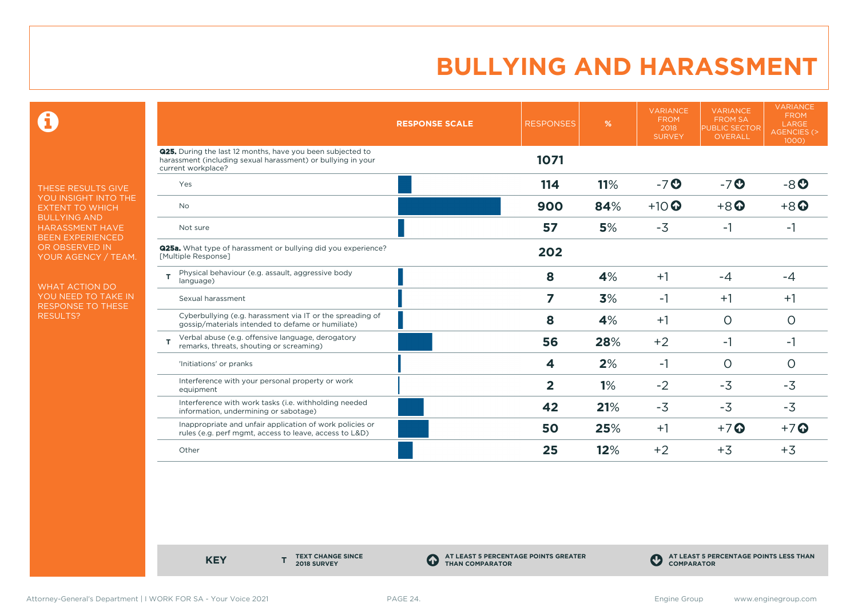$\mathbf \Theta$ 

THESE RESULTS GIVE YOU INSIGHT INTO THE EXTENT TO WHICH BULLYING AND HARASSMENT HAVE BEEN EXPERIENCED OR OBSERVED IN YOUR AGENCY / TEAM.

WHAT ACTION DO YOU NEED TO TAKE IN RESPONSE TO THESE RESULTS?

|                                                                                                                                                         | <b>RESPONSE SCALE</b> | <b>RESPONSES</b> | %   | <b>VARIANCE</b><br><b>FROM</b><br>2018<br><b>SURVEY</b> | <b>VARIANCE</b><br><b>FROM SA</b><br><b>PUBLIC SECTOR</b><br>OVERALL | <b>VARIANCE</b><br><b>FROM</b><br>LARGE<br>AGENCIES (><br>1000) |
|---------------------------------------------------------------------------------------------------------------------------------------------------------|-----------------------|------------------|-----|---------------------------------------------------------|----------------------------------------------------------------------|-----------------------------------------------------------------|
| <b>Q25.</b> During the last 12 months, have you been subjected to<br>harassment (including sexual harassment) or bullying in your<br>current workplace? |                       | 1071             |     |                                                         |                                                                      |                                                                 |
| Yes                                                                                                                                                     |                       | 114              | 11% | $-7o$                                                   | $-7o$                                                                | $-8o$                                                           |
| <b>No</b>                                                                                                                                               |                       | 900              | 84% | $+10$ <sup>O</sup>                                      | $+8$ <sup><math>\odot</math></sup>                                   | $+8$ <sup><math>\odot</math></sup>                              |
| Not sure                                                                                                                                                |                       | 57               | 5%  | $-3$                                                    | $-1$                                                                 | -1                                                              |
| <b>Q25a.</b> What type of harassment or bullying did you experience?<br>[Multiple Response]                                                             |                       | 202              |     |                                                         |                                                                      |                                                                 |
| Physical behaviour (e.g. assault, aggressive body<br>T.<br>language)                                                                                    |                       | 8                | 4%  | $+1$                                                    | $-4$                                                                 | $-4$                                                            |
| Sexual harassment                                                                                                                                       |                       | 7                | 3%  | $-1$                                                    | $+1$                                                                 | $+1$                                                            |
| Cyberbullying (e.g. harassment via IT or the spreading of<br>gossip/materials intended to defame or humiliate)                                          |                       | 8                | 4%  | $+1$                                                    | $\circ$                                                              | $\circ$                                                         |
| Verbal abuse (e.g. offensive language, derogatory<br>т<br>remarks, threats, shouting or screaming)                                                      |                       | 56               | 28% | $+2$                                                    | $-1$                                                                 | $-1$                                                            |
| 'Initiations' or pranks                                                                                                                                 |                       | 4                | 2%  | $-1$                                                    | $\circ$                                                              | $\circ$                                                         |
| Interference with your personal property or work<br>equipment                                                                                           |                       | $\overline{2}$   | 1%  | $-2$                                                    | $-3$                                                                 | $-3$                                                            |
| Interference with work tasks (i.e. withholding needed<br>information, undermining or sabotage)                                                          |                       | 42               | 21% | $-3$                                                    | $-3$                                                                 | $-3$                                                            |
| Inappropriate and unfair application of work policies or<br>rules (e.g. perf mgmt, access to leave, access to L&D)                                      |                       | 50               | 25% | $+1$                                                    | $+7$ $\odot$                                                         | $+7$ $\odot$                                                    |
| Other                                                                                                                                                   |                       | 25               | 12% | $+2$                                                    | $+3$                                                                 | $+3$                                                            |

**KEY** 

**TEXT CHANGE SINCE 2018 SURVEY**

**AT LEAST 5 PERCENTAGE POINTS GREATER THAN COMPARATOR**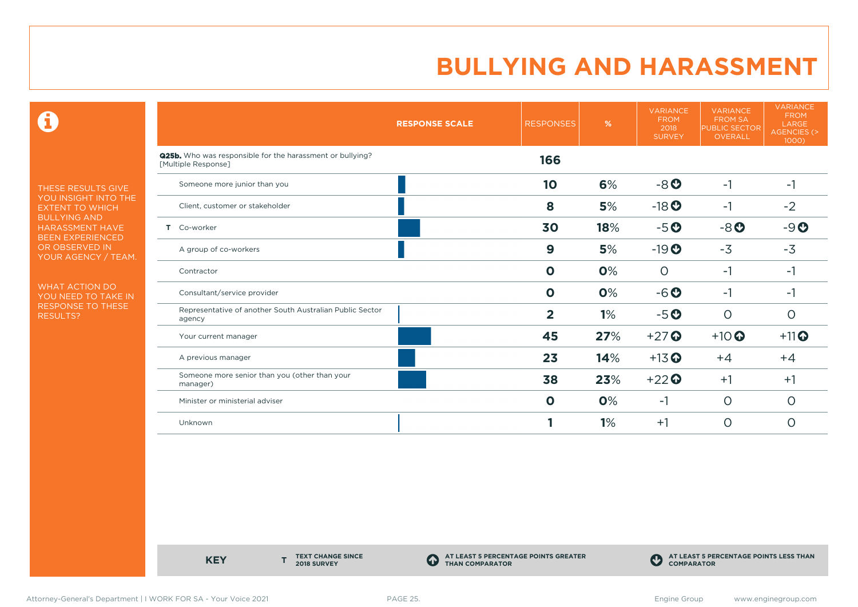$\mathbf \Theta$ 

THESE RESULTS GIVE YOU INSIGHT INTO THE EXTENT TO WHICH BULLYING AND HARASSMENT HAVE BEEN EXPERIENCED OR OBSERVED IN YOUR AGENCY / TEAM.

WHAT ACTION DO YOU NEED TO TAKE IN RESPONSE TO THESE RESULTS?

|                                                                                  | <b>RESPONSE SCALE</b> | <b>RESPONSES</b> | %   | <b>VARIANCE</b><br><b>FROM</b><br>2018<br><b>SURVEY</b> | <b>VARIANCE</b><br><b>FROM SA</b><br><b>PUBLIC SECTOR</b><br><b>OVERALL</b> | <b>VARIANCE</b><br><b>FROM</b><br>LARGE<br><b>AGENCIES (&gt;</b><br>1000) |
|----------------------------------------------------------------------------------|-----------------------|------------------|-----|---------------------------------------------------------|-----------------------------------------------------------------------------|---------------------------------------------------------------------------|
| Q25b. Who was responsible for the harassment or bullying?<br>[Multiple Response] |                       | 166              |     |                                                         |                                                                             |                                                                           |
| Someone more junior than you                                                     |                       | 10               | 6%  | $-8o$                                                   | $-1$                                                                        | $-1$                                                                      |
| Client, customer or stakeholder                                                  |                       | 8                | 5%  | $-18$ <b>O</b>                                          | -1                                                                          | $-2$                                                                      |
| Co-worker<br>Τ.                                                                  |                       | 30               | 18% | $-5o$                                                   | $-8o$                                                                       | $-9O$                                                                     |
| A group of co-workers                                                            |                       | $\boldsymbol{9}$ | 5%  | $-19O$                                                  | $-3$                                                                        | $-3$                                                                      |
| Contractor                                                                       |                       | $\mathbf 0$      | 0%  | $\circ$                                                 | $-1$                                                                        | $-1$                                                                      |
| Consultant/service provider                                                      |                       | $\mathbf 0$      | 0%  | $-6o$                                                   | $-1$                                                                        | -1                                                                        |
| Representative of another South Australian Public Sector<br>agency               |                       | $\overline{2}$   | 1%  | $-5o$                                                   | $\circ$                                                                     | $\circ$                                                                   |
| Your current manager                                                             |                       | 45               | 27% | $+27$                                                   | $+10$ <sup>O</sup>                                                          | $+11$ <sup>O</sup>                                                        |
| A previous manager                                                               |                       | 23               | 14% | $+13$ <sup>O</sup>                                      | $+4$                                                                        | $+4$                                                                      |
| Someone more senior than you (other than your<br>manager)                        |                       | 38               | 23% | $+22$                                                   | $+1$                                                                        | $+1$                                                                      |
| Minister or ministerial adviser                                                  |                       | $\mathbf 0$      | 0%  | $-1$                                                    | $\circ$                                                                     | O                                                                         |
| Unknown                                                                          |                       |                  | 1%  | $+1$                                                    | $\circ$                                                                     | $\circ$                                                                   |

**KEY** 

**TEXT CHANGE SINCE 2018 SURVEY**

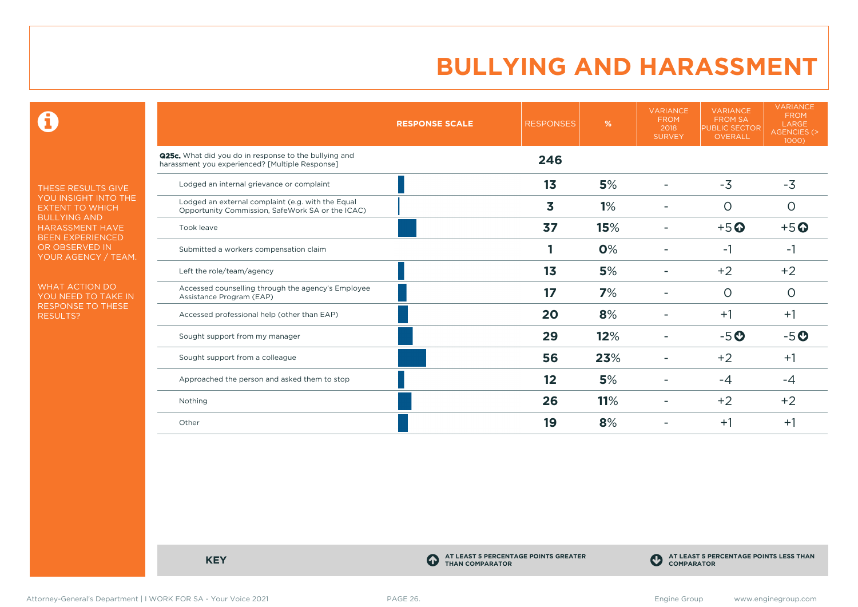$\mathbf \Theta$ 

THESE RESULTS GIVE YOU INSIGHT INTO THE EXTENT TO WHICH BULLYING AND HARASSMENT HAVE BEEN EXPERIENCED OR OBSERVED IN YOUR AGENCY / TEAM.

WHAT ACTION DO YOU NEED TO TAKE IN RESPONSE TO THESE RESULTS?

|                                                                                                          | <b>RESPONSE SCALE</b> | <b>RESPONSES</b> | %   | <b>VARIANCE</b><br><b>FROM</b><br>2018<br><b>SURVEY</b> | <b>VARIANCE</b><br><b>FROM SA</b><br><b>PUBLIC SECTOR</b><br><b>OVERALL</b> | <b>VARIANCE</b><br><b>FROM</b><br>LARGE<br>AGENCIES (><br>1000) |
|----------------------------------------------------------------------------------------------------------|-----------------------|------------------|-----|---------------------------------------------------------|-----------------------------------------------------------------------------|-----------------------------------------------------------------|
| Q25c. What did you do in response to the bullying and<br>harassment you experienced? [Multiple Response] |                       | 246              |     |                                                         |                                                                             |                                                                 |
| Lodged an internal grievance or complaint                                                                |                       | 1 <sub>3</sub>   | 5%  |                                                         | $-3$                                                                        | $-3$                                                            |
| Lodged an external complaint (e.g. with the Equal<br>Opportunity Commission, SafeWork SA or the ICAC)    |                       | 3                | 1%  |                                                         | $\circ$                                                                     | $\circ$                                                         |
| Took leave                                                                                               |                       | 37               | 15% |                                                         | $+5$ <sup>O</sup>                                                           | $+5$ <sup>O</sup>                                               |
| Submitted a workers compensation claim                                                                   |                       |                  | 0%  |                                                         | -1                                                                          | -1                                                              |
| Left the role/team/agency                                                                                |                       | 1 <sub>3</sub>   | 5%  |                                                         | $+2$                                                                        | $+2$                                                            |
| Accessed counselling through the agency's Employee<br>Assistance Program (EAP)                           |                       | 17               | 7%  |                                                         | $\circ$                                                                     | 0                                                               |
| Accessed professional help (other than EAP)                                                              |                       | 20               | 8%  |                                                         | $+1$                                                                        | $+1$                                                            |
| Sought support from my manager                                                                           |                       | 29               | 12% |                                                         | $-5o$                                                                       | $-5o$                                                           |
| Sought support from a colleague                                                                          |                       | 56               | 23% |                                                         | $+2$                                                                        | $+1$                                                            |
| Approached the person and asked them to stop                                                             |                       | 12               | 5%  |                                                         | $-4$                                                                        | -4                                                              |
| Nothing                                                                                                  |                       | 26               | 11% |                                                         | $+2$                                                                        | $+2$                                                            |
| Other                                                                                                    |                       | 19               | 8%  |                                                         | $+1$                                                                        | $+1$                                                            |

**KEY C** 

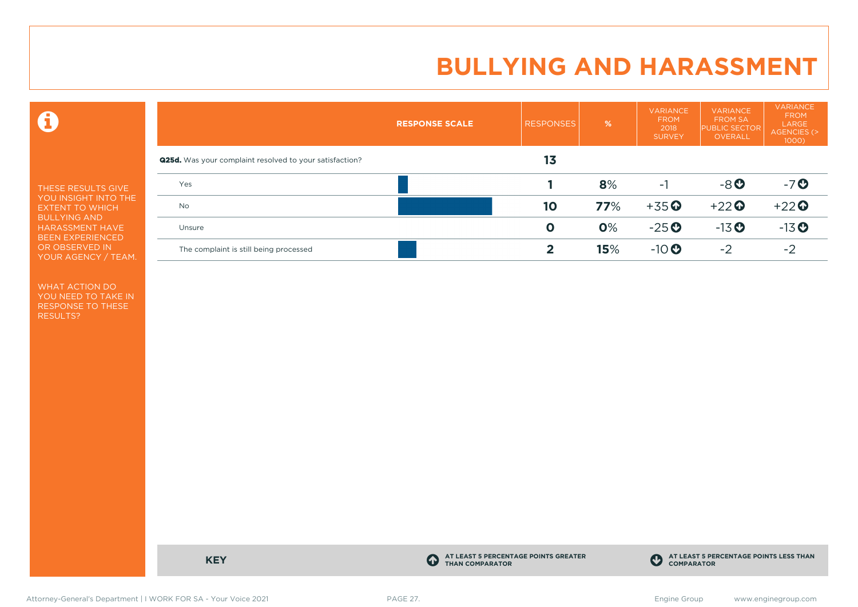$\mathbf \Omega$ 

THESE RESULTS GIVE YOU INSIGHT INTO THE EXTENT TO WHICH BULLYING AND HARASSMENT HAVE BEEN EXPERIENCED OR OBSERVED IN YOUR AGENCY / TEAM.

WHAT ACTION DO YOU NEED TO TAKE IN RESPONSE TO THESE RESULTS?

|                                                                | <b>RESPONSE SCALE</b> | <b>RESPONSES</b> | $\frac{9}{6}$ | <b>VARIANCE</b><br><b>FROM</b><br>2018<br><b>SURVEY</b> | <b>VARIANCE</b><br><b>FROM SA</b><br><b>PUBLIC SECTOR</b><br><b>OVERALL</b> | <b>VARIANCE</b><br><b>FROM</b><br>LARGE<br>AGENCIES (><br>$1000$ ) |
|----------------------------------------------------------------|-----------------------|------------------|---------------|---------------------------------------------------------|-----------------------------------------------------------------------------|--------------------------------------------------------------------|
| <b>Q25d.</b> Was your complaint resolved to your satisfaction? |                       | 13               |               |                                                         |                                                                             |                                                                    |
| Yes                                                            |                       |                  | 8%            | -1                                                      | $-8o$                                                                       | $-7o$                                                              |
| <b>No</b>                                                      |                       | 10               | 77%           | $+35$ <sup>O</sup>                                      | $+22$                                                                       | $+22$                                                              |
| Unsure                                                         |                       | $\mathbf 0$      | 0%            | $-25$ <sup><math>\odot</math></sup>                     | $-13$ <sup>O</sup>                                                          | $-13$ <sup>O</sup>                                                 |
| The complaint is still being processed                         |                       | 2                | 15%           | $-10$                                                   | $-2$                                                                        | $-2$                                                               |

**KEY C** 

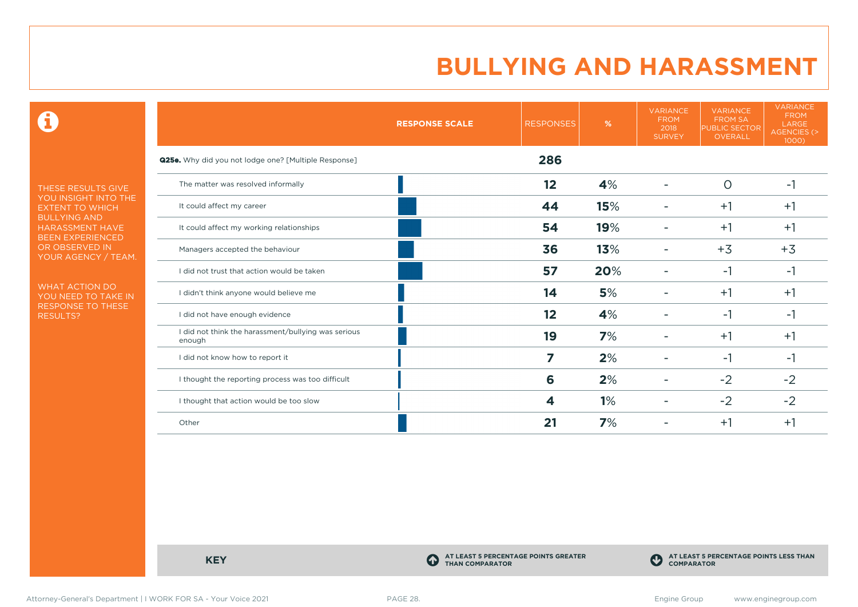$\mathbf \Theta$ 

THESE RESULTS GIVE YOU INSIGHT INTO THE EXTENT TO WHICH BULLYING AND HARASSMENT HAVE BEEN EXPERIENCED OR OBSERVED IN YOUR AGENCY / TEAM.

WHAT ACTION DO YOU NEED TO TAKE IN RESPONSE TO THESE RESULTS?

|                                                               | <b>RESPONSE SCALE</b> | <b>RESPONSES</b> | %   | <b>VARIANCE</b><br><b>FROM</b><br>2018<br><b>SURVEY</b> | <b>VARIANCE</b><br><b>FROM SA</b><br><b>PUBLIC SECTOR</b><br>OVERALL | <b>VARIANCE</b><br><b>FROM</b><br>LARGE<br>AGENCIES (><br>1000) |
|---------------------------------------------------------------|-----------------------|------------------|-----|---------------------------------------------------------|----------------------------------------------------------------------|-----------------------------------------------------------------|
| Q25e. Why did you not lodge one? [Multiple Response]          |                       | 286              |     |                                                         |                                                                      |                                                                 |
| The matter was resolved informally                            |                       | 12               | 4%  | ۰                                                       | $\circ$                                                              | $-1$                                                            |
| It could affect my career                                     |                       | 44               | 15% |                                                         | $+1$                                                                 | $+1$                                                            |
| It could affect my working relationships                      |                       | 54               | 19% |                                                         | $+1$                                                                 | $+1$                                                            |
| Managers accepted the behaviour                               |                       | 36               | 13% |                                                         | $+3$                                                                 | $+3$                                                            |
| I did not trust that action would be taken                    |                       | 57               | 20% |                                                         | $-1$                                                                 | -1                                                              |
| I didn't think anyone would believe me                        |                       | 14               | 5%  |                                                         | $+1$                                                                 | $+1$                                                            |
| I did not have enough evidence                                |                       | 12               | 4%  |                                                         | $-1$                                                                 | -1                                                              |
| I did not think the harassment/bullying was serious<br>enough |                       | 19               | 7%  |                                                         | $+1$                                                                 | $+1$                                                            |
| I did not know how to report it                               |                       | 7                | 2%  |                                                         | $-1$                                                                 | -1                                                              |
| I thought the reporting process was too difficult             |                       | 6                | 2%  | ۰                                                       | $-2$                                                                 | $-2$                                                            |
| I thought that action would be too slow                       |                       | 4                | 1%  |                                                         | $-2$                                                                 | $-2$                                                            |
| Other                                                         |                       | 21               | 7%  |                                                         | $+1$                                                                 | $+1$                                                            |

**KEY C** 

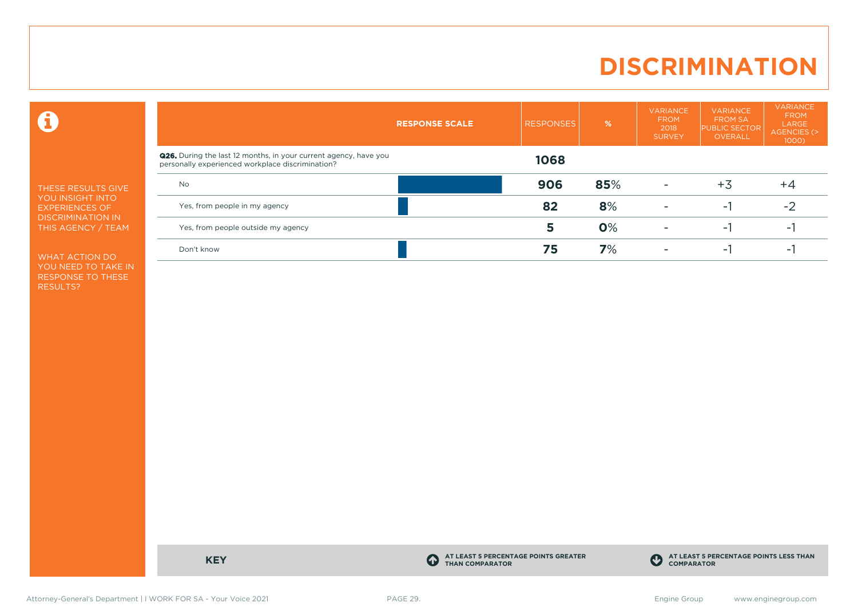# **DISCRIMINATION**

 $\mathbf \Theta$ 

THESE RESULTS GIVE YOU INSIGHT INTO EXPERIENCES OF DISCRIMINATION IN THIS AGENCY / TEAM

WHAT ACTION DO YOU NEED TO TAKE IN RESPONSE TO THESE RESULTS?

|                                                                                                                             | <b>RESPONSE SCALE</b> | <b>RESPONSES</b> | $\frac{9}{6}$ | <b>VARIANCE</b><br><b>FROM</b><br>2018<br><b>SURVEY</b> | <b>VARIANCE</b><br><b>FROM SA</b><br><b>PUBLIC SECTOR</b><br><b>OVERALL</b> | <b>VARIANCE</b><br><b>FROM</b><br>LARGE<br>AGENCIES (><br>$1000$ ) |
|-----------------------------------------------------------------------------------------------------------------------------|-----------------------|------------------|---------------|---------------------------------------------------------|-----------------------------------------------------------------------------|--------------------------------------------------------------------|
| <b>Q26.</b> During the last 12 months, in your current agency, have you<br>personally experienced workplace discrimination? |                       | 1068             |               |                                                         |                                                                             |                                                                    |
| <b>No</b>                                                                                                                   |                       | 906              | 85%           | $\overline{\phantom{a}}$                                | $+3$                                                                        | $+4$                                                               |
| Yes, from people in my agency                                                                                               |                       | 82               | 8%            | ۰                                                       | н.                                                                          | $-2$                                                               |
| Yes, from people outside my agency                                                                                          |                       | 5                | 0%            | $\overline{\phantom{a}}$                                | н.                                                                          | ÷.                                                                 |
| Don't know                                                                                                                  |                       | 75               | 7%            |                                                         | - 1                                                                         | $\overline{\phantom{a}}$                                           |

**KEY C** 

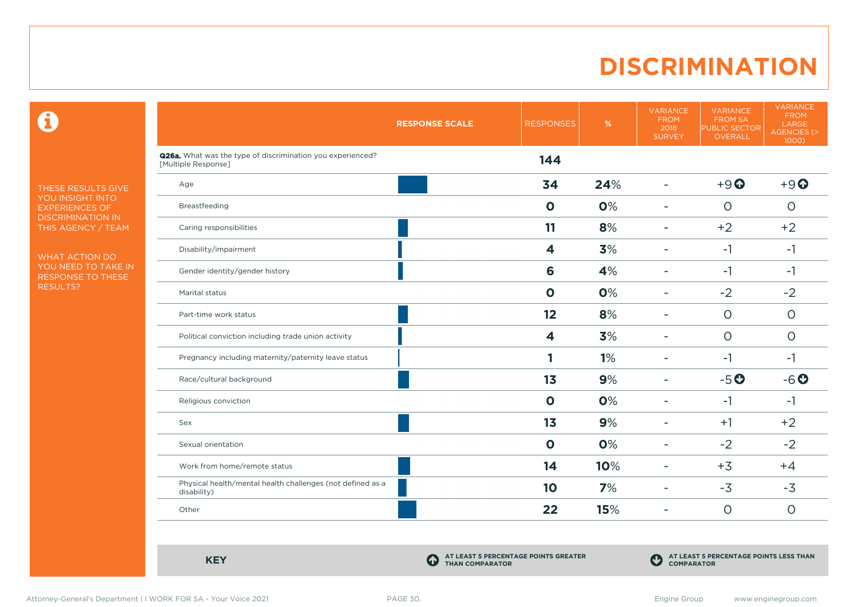# **DISCRIMINATION**

 $\mathbf \Theta$ 

THESE RESULTS GIVE YOU INSIGHT INTO EXPERIENCES OF DISCRIMINATION IN THIS AGENCY / TEAM

WHAT ACTION DO YOU NEED TO TAKE IN RESPONSE TO THESE RESULTS?

|                                                                                   | <b>RESPONSE SCALE</b> | <b>RESPONSES</b>        | %   | <b>VARIANCE</b><br><b>FROM</b><br>2018<br><b>SURVEY</b> | <b>VARIANCE</b><br><b>FROM SA</b><br><b>PUBLIC SECTOR</b><br>OVERALL | <b>VARIANCE</b><br><b>FROM</b><br>LARGE<br>AGENCIES (><br>1000 |
|-----------------------------------------------------------------------------------|-----------------------|-------------------------|-----|---------------------------------------------------------|----------------------------------------------------------------------|----------------------------------------------------------------|
| Q26a. What was the type of discrimination you experienced?<br>[Multiple Response] |                       | 144                     |     |                                                         |                                                                      |                                                                |
| Age                                                                               |                       | 34                      | 24% | $\overline{\phantom{a}}$                                | $+9$ $\odot$                                                         | $+9$ $\odot$                                                   |
| Breastfeeding                                                                     |                       | $\mathbf 0$             | 0%  | $\blacksquare$                                          | $\circ$                                                              | $\circ$                                                        |
| Caring responsibilities                                                           |                       | 11                      | 8%  | $\overline{\phantom{a}}$                                | $+2$                                                                 | $+2$                                                           |
| Disability/impairment                                                             |                       | $\overline{\mathbf{4}}$ | 3%  | $\blacksquare$                                          | $-1$                                                                 | $-1$                                                           |
| Gender identity/gender history                                                    |                       | 6                       | 4%  | $\overline{\phantom{a}}$                                | $-1$                                                                 | $-1$                                                           |
| Marital status                                                                    |                       | $\mathbf 0$             | 0%  | ۰                                                       | $-2$                                                                 | $-2$                                                           |
| Part-time work status                                                             |                       | 12                      | 8%  | $\overline{\phantom{a}}$                                | $\Omega$                                                             | $\Omega$                                                       |
| Political conviction including trade union activity                               |                       | $\overline{\mathbf{4}}$ | 3%  | $\overline{\phantom{a}}$                                | $\circ$                                                              | $\circ$                                                        |
| Pregnancy including maternity/paternity leave status                              |                       | 1                       | 1%  | $\overline{\phantom{a}}$                                | $-1$                                                                 | $-1$                                                           |
| Race/cultural background                                                          |                       | 1 <sub>3</sub>          | 9%  | $\overline{\phantom{a}}$                                | $-5o$                                                                | $-6o$                                                          |
| Religious conviction                                                              |                       | $\mathbf 0$             | 0%  | $\overline{\phantom{a}}$                                | $-1$                                                                 | $-1$                                                           |
| Sex                                                                               |                       | 1 <sub>3</sub>          | 9%  | $\overline{\phantom{a}}$                                | $+1$                                                                 | $+2$                                                           |
| Sexual orientation                                                                |                       | $\mathbf 0$             | 0%  | ۰                                                       | $-2$                                                                 | $-2$                                                           |
| Work from home/remote status                                                      |                       | 14                      | 10% | $\overline{\phantom{a}}$                                | $+3$                                                                 | $+4$                                                           |
| Physical health/mental health challenges (not defined as a<br>disability)         |                       | 10                      | 7%  | ۰                                                       | $-3$                                                                 | $-3$                                                           |
| Other                                                                             |                       | 22                      | 15% | $\overline{\phantom{a}}$                                | $\circ$                                                              | $\circ$                                                        |
|                                                                                   |                       |                         |     |                                                         |                                                                      |                                                                |

**KEY C** 

**AT LEAST 5 PERCENTAGE POINTS GREATER THAN COMPARATOR**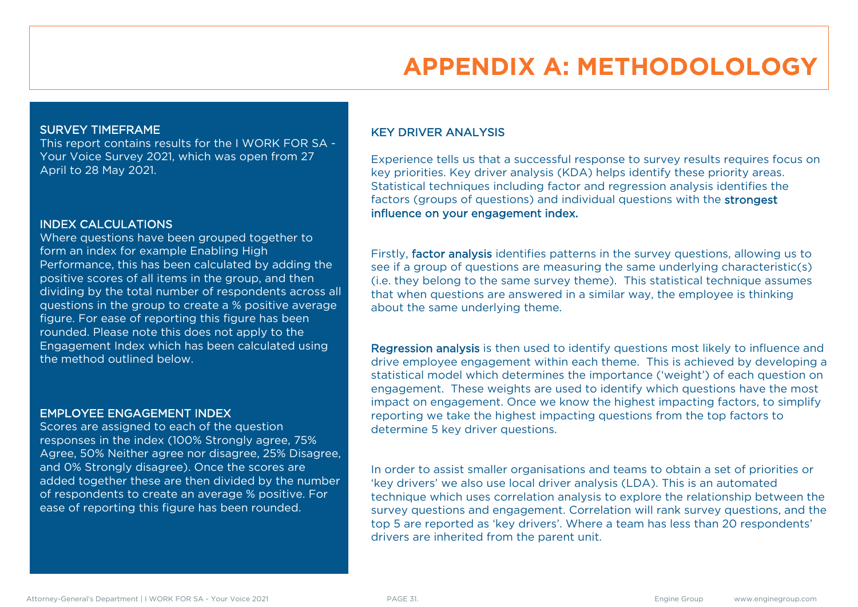# **APPENDIX A: METHODOLOLOGY**

#### SURVEY TIMEFRAME

This report contains results for the I WORK FOR SA - Your Voice Survey 2021, which was open from 27 April to 28 May 2021.

#### INDEX CALCULATIONS

Where questions have been grouped together to form an index for example Enabling High Performance, this has been calculated by adding the positive scores of all items in the group, and then dividing by the total number of respondents across all questions in the group to create a % positive average figure. For ease of reporting this figure has been rounded. Please note this does not apply to the Engagement Index which has been calculated using the method outlined below.

#### EMPLOYEE ENGAGEMENT INDEX

Scores are assigned to each of the question responses in the index (100% Strongly agree, 75% Agree, 50% Neither agree nor disagree, 25% Disagree, and 0% Strongly disagree). Once the scores are added together these are then divided by the number of respondents to create an average % positive. For ease of reporting this figure has been rounded.

### KEY DRIVER ANALYSIS

Experience tells us that a successful response to survey results requires focus on key priorities. Key driver analysis (KDA) helps identify these priority areas. Statistical techniques including factor and regression analysis identifies the factors (groups of questions) and individual questions with the strongest influence on your engagement index.

Firstly, factor analysis identifies patterns in the survey questions, allowing us to see if a group of questions are measuring the same underlying characteristic(s) (i.e. they belong to the same survey theme). This statistical technique assumes that when questions are answered in a similar way, the employee is thinking about the same underlying theme.

Regression analysis is then used to identify questions most likely to influence and drive employee engagement within each theme. This is achieved by developing a statistical model which determines the importance ('weight') of each question on engagement. These weights are used to identify which questions have the most impact on engagement. Once we know the highest impacting factors, to simplify reporting we take the highest impacting questions from the top factors to determine 5 key driver questions.

In order to assist smaller organisations and teams to obtain a set of priorities or 'key drivers' we also use local driver analysis (LDA). This is an automated technique which uses correlation analysis to explore the relationship between the survey questions and engagement. Correlation will rank survey questions, and the top 5 are reported as 'key drivers'. Where a team has less than 20 respondents' drivers are inherited from the parent unit.